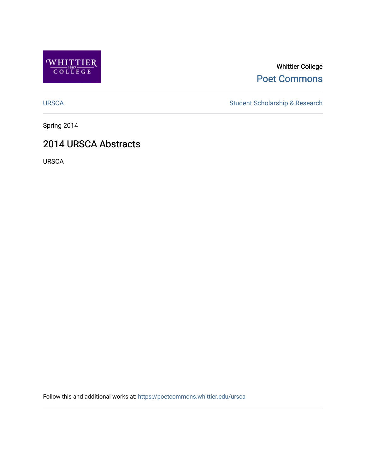

Whittier College [Poet Commons](https://poetcommons.whittier.edu/) 

[URSCA](https://poetcommons.whittier.edu/ursca) Student Scholarship & Research

Spring 2014

### 2014 URSCA Abstracts

URSCA

Follow this and additional works at: [https://poetcommons.whittier.edu/ursca](https://poetcommons.whittier.edu/ursca?utm_source=poetcommons.whittier.edu%2Fursca%2F1&utm_medium=PDF&utm_campaign=PDFCoverPages)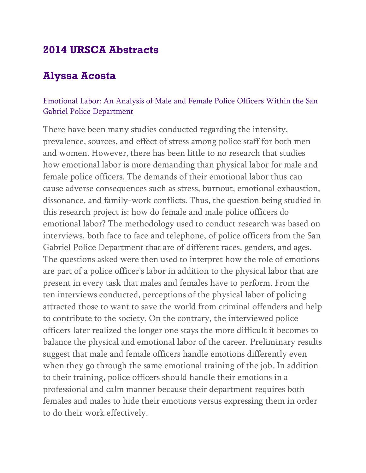## **2014 URSCA Abstracts**

## **Alyssa Acosta**

#### Emotional Labor: An Analysis of Male and Female Police Officers Within the San Gabriel Police Department

There have been many studies conducted regarding the intensity, prevalence, sources, and effect of stress among police staff for both men and women. However, there has been little to no research that studies how emotional labor is more demanding than physical labor for male and female police officers. The demands of their emotional labor thus can cause adverse consequences such as stress, burnout, emotional exhaustion, dissonance, and family-work conflicts. Thus, the question being studied in this research project is: how do female and male police officers do emotional labor? The methodology used to conduct research was based on interviews, both face to face and telephone, of police officers from the San Gabriel Police Department that are of different races, genders, and ages. The questions asked were then used to interpret how the role of emotions are part of a police officer's labor in addition to the physical labor that are present in every task that males and females have to perform. From the ten interviews conducted, perceptions of the physical labor of policing attracted those to want to save the world from criminal offenders and help to contribute to the society. On the contrary, the interviewed police officers later realized the longer one stays the more difficult it becomes to balance the physical and emotional labor of the career. Preliminary results suggest that male and female officers handle emotions differently even when they go through the same emotional training of the job. In addition to their training, police officers should handle their emotions in a professional and calm manner because their department requires both females and males to hide their emotions versus expressing them in order to do their work effectively.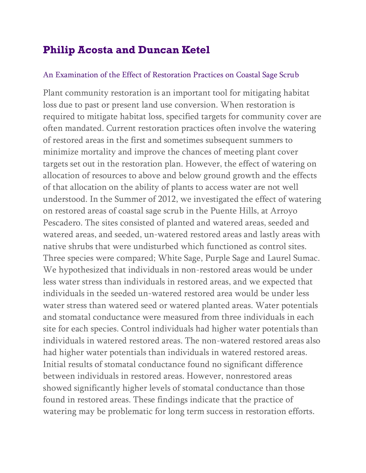## **Philip Acosta and Duncan Ketel**

#### An Examination of the Effect of Restoration Practices on Coastal Sage Scrub

Plant community restoration is an important tool for mitigating habitat loss due to past or present land use conversion. When restoration is required to mitigate habitat loss, specified targets for community cover are often mandated. Current restoration practices often involve the watering of restored areas in the first and sometimes subsequent summers to minimize mortality and improve the chances of meeting plant cover targets set out in the restoration plan. However, the effect of watering on allocation of resources to above and below ground growth and the effects of that allocation on the ability of plants to access water are not well understood. In the Summer of 2012, we investigated the effect of watering on restored areas of coastal sage scrub in the Puente Hills, at Arroyo Pescadero. The sites consisted of planted and watered areas, seeded and watered areas, and seeded, un-watered restored areas and lastly areas with native shrubs that were undisturbed which functioned as control sites. Three species were compared; White Sage, Purple Sage and Laurel Sumac. We hypothesized that individuals in non-restored areas would be under less water stress than individuals in restored areas, and we expected that individuals in the seeded un-watered restored area would be under less water stress than watered seed or watered planted areas. Water potentials and stomatal conductance were measured from three individuals in each site for each species. Control individuals had higher water potentials than individuals in watered restored areas. The non-watered restored areas also had higher water potentials than individuals in watered restored areas. Initial results of stomatal conductance found no significant difference between individuals in restored areas. However, nonrestored areas showed significantly higher levels of stomatal conductance than those found in restored areas. These findings indicate that the practice of watering may be problematic for long term success in restoration efforts.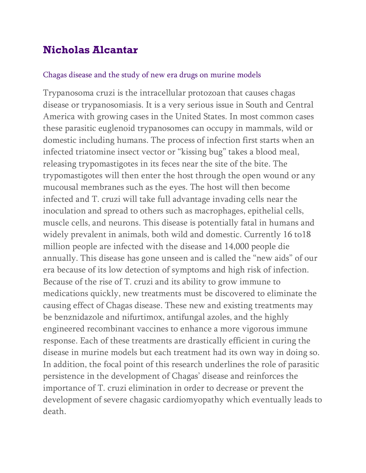## **Nicholas Alcantar**

#### Chagas disease and the study of new era drugs on murine models

Trypanosoma cruzi is the intracellular protozoan that causes chagas disease or trypanosomiasis. It is a very serious issue in South and Central America with growing cases in the United States. In most common cases these parasitic euglenoid trypanosomes can occupy in mammals, wild or domestic including humans. The process of infection first starts when an infected triatomine insect vector or "kissing bug" takes a blood meal, releasing trypomastigotes in its feces near the site of the bite. The trypomastigotes will then enter the host through the open wound or any mucousal membranes such as the eyes. The host will then become infected and T. cruzi will take full advantage invading cells near the inoculation and spread to others such as macrophages, epithelial cells, muscle cells, and neurons. This disease is potentially fatal in humans and widely prevalent in animals, both wild and domestic. Currently 16 to18 million people are infected with the disease and 14,000 people die annually. This disease has gone unseen and is called the "new aids" of our era because of its low detection of symptoms and high risk of infection. Because of the rise of T. cruzi and its ability to grow immune to medications quickly, new treatments must be discovered to eliminate the causing effect of Chagas disease. These new and existing treatments may be benznidazole and nifurtimox, antifungal azoles, and the highly engineered recombinant vaccines to enhance a more vigorous immune response. Each of these treatments are drastically efficient in curing the disease in murine models but each treatment had its own way in doing so. In addition, the focal point of this research underlines the role of parasitic persistence in the development of Chagas' disease and reinforces the importance of T. cruzi elimination in order to decrease or prevent the development of severe chagasic cardiomyopathy which eventually leads to death.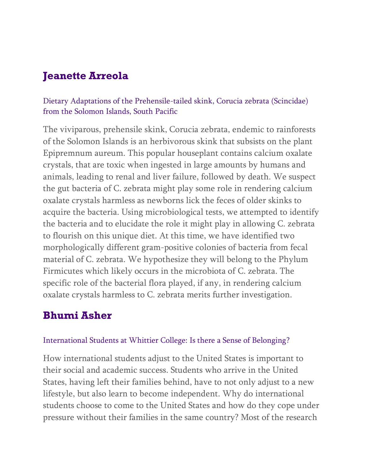# **Jeanette Arreola**

#### Dietary Adaptations of the Prehensile-tailed skink, Corucia zebrata (Scincidae) from the Solomon Islands, South Pacific

The viviparous, prehensile skink, Corucia zebrata, endemic to rainforests of the Solomon Islands is an herbivorous skink that subsists on the plant Epipremnum aureum. This popular houseplant contains calcium oxalate crystals, that are toxic when ingested in large amounts by humans and animals, leading to renal and liver failure, followed by death. We suspect the gut bacteria of C. zebrata might play some role in rendering calcium oxalate crystals harmless as newborns lick the feces of older skinks to acquire the bacteria. Using microbiological tests, we attempted to identify the bacteria and to elucidate the role it might play in allowing C. zebrata to flourish on this unique diet. At this time, we have identified two morphologically different gram-positive colonies of bacteria from fecal material of C. zebrata. We hypothesize they will belong to the Phylum Firmicutes which likely occurs in the microbiota of C. zebrata. The specific role of the bacterial flora played, if any, in rendering calcium oxalate crystals harmless to C. zebrata merits further investigation.

### **Bhumi Asher**

#### International Students at Whittier College: Is there a Sense of Belonging?

How international students adjust to the United States is important to their social and academic success. Students who arrive in the United States, having left their families behind, have to not only adjust to a new lifestyle, but also learn to become independent. Why do international students choose to come to the United States and how do they cope under pressure without their families in the same country? Most of the research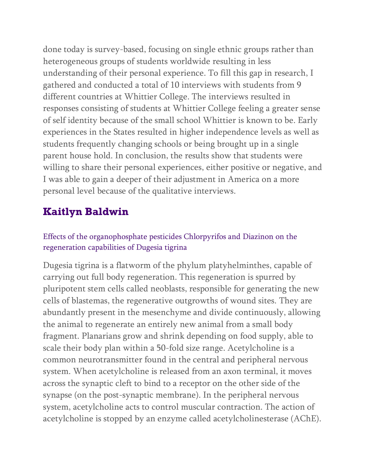done today is survey-based, focusing on single ethnic groups rather than heterogeneous groups of students worldwide resulting in less understanding of their personal experience. To fill this gap in research, I gathered and conducted a total of 10 interviews with students from 9 different countries at Whittier College. The interviews resulted in responses consisting of students at Whittier College feeling a greater sense of self identity because of the small school Whittier is known to be. Early experiences in the States resulted in higher independence levels as well as students frequently changing schools or being brought up in a single parent house hold. In conclusion, the results show that students were willing to share their personal experiences, either positive or negative, and I was able to gain a deeper of their adjustment in America on a more personal level because of the qualitative interviews.

## **Kaitlyn Baldwin**

Effects of the organophosphate pesticides Chlorpyrifos and Diazinon on the regeneration capabilities of Dugesia tigrina

Dugesia tigrina is a flatworm of the phylum platyhelminthes, capable of carrying out full body regeneration. This regeneration is spurred by pluripotent stem cells called neoblasts, responsible for generating the new cells of blastemas, the regenerative outgrowths of wound sites. They are abundantly present in the mesenchyme and divide continuously, allowing the animal to regenerate an entirely new animal from a small body fragment. Planarians grow and shrink depending on food supply, able to scale their body plan within a 50-fold size range. Acetylcholine is a common neurotransmitter found in the central and peripheral nervous system. When acetylcholine is released from an axon terminal, it moves across the synaptic cleft to bind to a receptor on the other side of the synapse (on the post-synaptic membrane). In the peripheral nervous system, acetylcholine acts to control muscular contraction. The action of acetylcholine is stopped by an enzyme called acetylcholinesterase (AChE).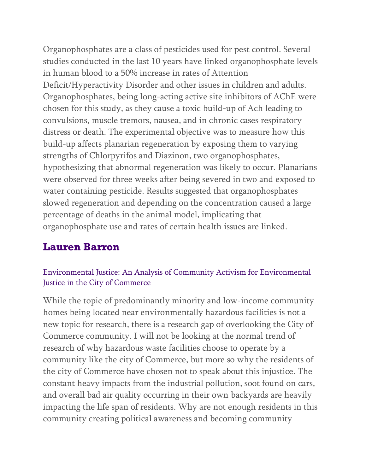Organophosphates are a class of pesticides used for pest control. Several studies conducted in the last 10 years have linked organophosphate levels in human blood to a 50% increase in rates of Attention Deficit/Hyperactivity Disorder and other issues in children and adults. Organophosphates, being long-acting active site inhibitors of AChE were chosen for this study, as they cause a toxic build-up of Ach leading to convulsions, muscle tremors, nausea, and in chronic cases respiratory distress or death. The experimental objective was to measure how this build-up affects planarian regeneration by exposing them to varying strengths of Chlorpyrifos and Diazinon, two organophosphates, hypothesizing that abnormal regeneration was likely to occur. Planarians were observed for three weeks after being severed in two and exposed to water containing pesticide. Results suggested that organophosphates slowed regeneration and depending on the concentration caused a large percentage of deaths in the animal model, implicating that organophosphate use and rates of certain health issues are linked.

### **Lauren Barron**

#### Environmental Justice: An Analysis of Community Activism for Environmental Justice in the City of Commerce

While the topic of predominantly minority and low-income community homes being located near environmentally hazardous facilities is not a new topic for research, there is a research gap of overlooking the City of Commerce community. I will not be looking at the normal trend of research of why hazardous waste facilities choose to operate by a community like the city of Commerce, but more so why the residents of the city of Commerce have chosen not to speak about this injustice. The constant heavy impacts from the industrial pollution, soot found on cars, and overall bad air quality occurring in their own backyards are heavily impacting the life span of residents. Why are not enough residents in this community creating political awareness and becoming community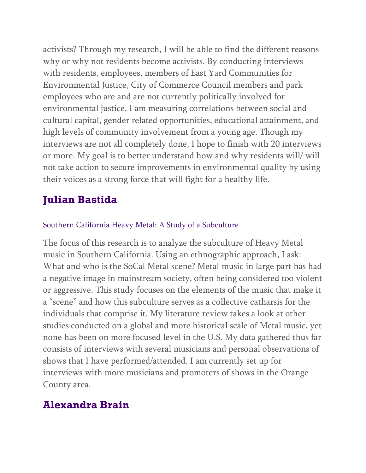activists? Through my research, I will be able to find the different reasons why or why not residents become activists. By conducting interviews with residents, employees, members of East Yard Communities for Environmental Justice, City of Commerce Council members and park employees who are and are not currently politically involved for environmental justice, I am measuring correlations between social and cultural capital, gender related opportunities, educational attainment, and high levels of community involvement from a young age. Though my interviews are not all completely done, I hope to finish with 20 interviews or more. My goal is to better understand how and why residents will/ will not take action to secure improvements in environmental quality by using their voices as a strong force that will fight for a healthy life.

## **Julian Bastida**

#### Southern California Heavy Metal: A Study of a Subculture

The focus of this research is to analyze the subculture of Heavy Metal music in Southern California. Using an ethnographic approach, I ask: What and who is the SoCal Metal scene? Metal music in large part has had a negative image in mainstream society, often being considered too violent or aggressive. This study focuses on the elements of the music that make it a "scene" and how this subculture serves as a collective catharsis for the individuals that comprise it. My literature review takes a look at other studies conducted on a global and more historical scale of Metal music, yet none has been on more focused level in the U.S. My data gathered thus far consists of interviews with several musicians and personal observations of shows that I have performed/attended. I am currently set up for interviews with more musicians and promoters of shows in the Orange County area.

### **Alexandra Brain**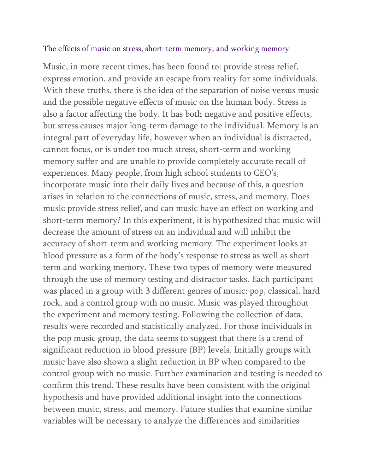#### The effects of music on stress, short-term memory, and working memory

Music, in more recent times, has been found to: provide stress relief, express emotion, and provide an escape from reality for some individuals. With these truths, there is the idea of the separation of noise versus music and the possible negative effects of music on the human body. Stress is also a factor affecting the body. It has both negative and positive effects, but stress causes major long-term damage to the individual. Memory is an integral part of everyday life, however when an individual is distracted, cannot focus, or is under too much stress, short-term and working memory suffer and are unable to provide completely accurate recall of experiences. Many people, from high school students to CEO's, incorporate music into their daily lives and because of this, a question arises in relation to the connections of music, stress, and memory. Does music provide stress relief, and can music have an effect on working and short-term memory? In this experiment, it is hypothesized that music will decrease the amount of stress on an individual and will inhibit the accuracy of short-term and working memory. The experiment looks at blood pressure as a form of the body's response to stress as well as shortterm and working memory. These two types of memory were measured through the use of memory testing and distractor tasks. Each participant was placed in a group with 3 different genres of music: pop, classical, hard rock, and a control group with no music. Music was played throughout the experiment and memory testing. Following the collection of data, results were recorded and statistically analyzed. For those individuals in the pop music group, the data seems to suggest that there is a trend of significant reduction in blood pressure (BP) levels. Initially groups with music have also shown a slight reduction in BP when compared to the control group with no music. Further examination and testing is needed to confirm this trend. These results have been consistent with the original hypothesis and have provided additional insight into the connections between music, stress, and memory. Future studies that examine similar variables will be necessary to analyze the differences and similarities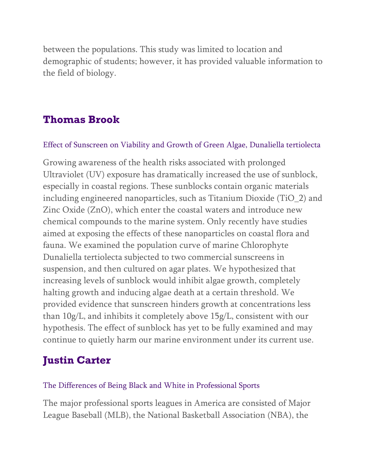between the populations. This study was limited to location and demographic of students; however, it has provided valuable information to the field of biology.

## **Thomas Brook**

#### Effect of Sunscreen on Viability and Growth of Green Algae, Dunaliella tertiolecta

Growing awareness of the health risks associated with prolonged Ultraviolet (UV) exposure has dramatically increased the use of sunblock, especially in coastal regions. These sunblocks contain organic materials including engineered nanoparticles, such as Titanium Dioxide (TiO\_2) and Zinc Oxide (ZnO), which enter the coastal waters and introduce new chemical compounds to the marine system. Only recently have studies aimed at exposing the effects of these nanoparticles on coastal flora and fauna. We examined the population curve of marine Chlorophyte Dunaliella tertiolecta subjected to two commercial sunscreens in suspension, and then cultured on agar plates. We hypothesized that increasing levels of sunblock would inhibit algae growth, completely halting growth and inducing algae death at a certain threshold. We provided evidence that sunscreen hinders growth at concentrations less than 10g/L, and inhibits it completely above 15g/L, consistent with our hypothesis. The effect of sunblock has yet to be fully examined and may continue to quietly harm our marine environment under its current use.

## **Justin Carter**

#### The Differences of Being Black and White in Professional Sports

The major professional sports leagues in America are consisted of Major League Baseball (MLB), the National Basketball Association (NBA), the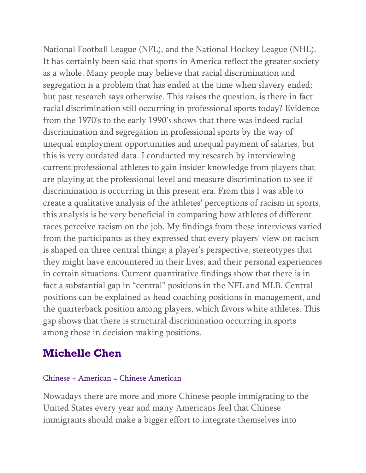National Football League (NFL), and the National Hockey League (NHL). It has certainly been said that sports in America reflect the greater society as a whole. Many people may believe that racial discrimination and segregation is a problem that has ended at the time when slavery ended; but past research says otherwise. This raises the question, is there in fact racial discrimination still occurring in professional sports today? Evidence from the 1970's to the early 1990's shows that there was indeed racial discrimination and segregation in professional sports by the way of unequal employment opportunities and unequal payment of salaries, but this is very outdated data. I conducted my research by interviewing current professional athletes to gain insider knowledge from players that are playing at the professional level and measure discrimination to see if discrimination is occurring in this present era. From this I was able to create a qualitative analysis of the athletes' perceptions of racism in sports, this analysis is be very beneficial in comparing how athletes of different races perceive racism on the job. My findings from these interviews varied from the participants as they expressed that every players' view on racism is shaped on three central things; a player's perspective, stereotypes that they might have encountered in their lives, and their personal experiences in certain situations. Current quantitative findings show that there is in fact a substantial gap in "central" positions in the NFL and MLB. Central positions can be explained as head coaching positions in management, and the quarterback position among players, which favors white athletes. This gap shows that there is structural discrimination occurring in sports among those in decision making positions.

## **Michelle Chen**

#### Chinese + American = Chinese American

Nowadays there are more and more Chinese people immigrating to the United States every year and many Americans feel that Chinese immigrants should make a bigger effort to integrate themselves into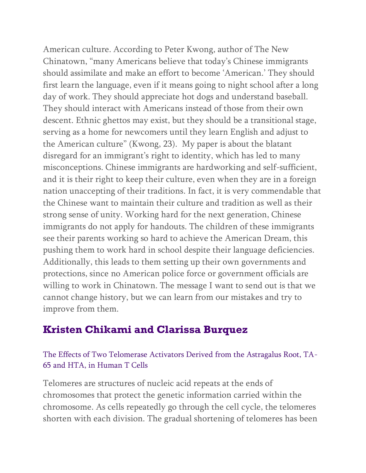American culture. According to Peter Kwong, author of The New Chinatown, "many Americans believe that today's Chinese immigrants should assimilate and make an effort to become 'American.' They should first learn the language, even if it means going to night school after a long day of work. They should appreciate hot dogs and understand baseball. They should interact with Americans instead of those from their own descent. Ethnic ghettos may exist, but they should be a transitional stage, serving as a home for newcomers until they learn English and adjust to the American culture" (Kwong, 23). My paper is about the blatant disregard for an immigrant's right to identity, which has led to many misconceptions. Chinese immigrants are hardworking and self-sufficient, and it is their right to keep their culture, even when they are in a foreign nation unaccepting of their traditions. In fact, it is very commendable that the Chinese want to maintain their culture and tradition as well as their strong sense of unity. Working hard for the next generation, Chinese immigrants do not apply for handouts. The children of these immigrants see their parents working so hard to achieve the American Dream, this pushing them to work hard in school despite their language deficiencies. Additionally, this leads to them setting up their own governments and protections, since no American police force or government officials are willing to work in Chinatown. The message I want to send out is that we cannot change history, but we can learn from our mistakes and try to improve from them.

### **Kristen Chikami and Clarissa Burquez**

#### The Effects of Two Telomerase Activators Derived from the Astragalus Root, TA-65 and HTA, in Human T Cells

Telomeres are structures of nucleic acid repeats at the ends of chromosomes that protect the genetic information carried within the chromosome. As cells repeatedly go through the cell cycle, the telomeres shorten with each division. The gradual shortening of telomeres has been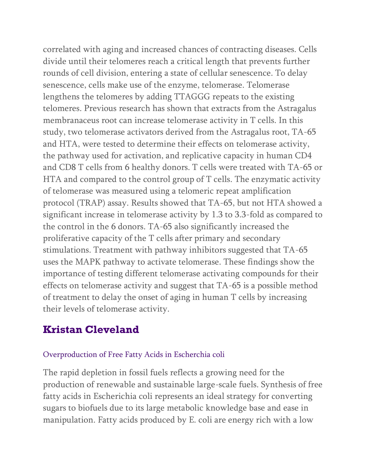correlated with aging and increased chances of contracting diseases. Cells divide until their telomeres reach a critical length that prevents further rounds of cell division, entering a state of cellular senescence. To delay senescence, cells make use of the enzyme, telomerase. Telomerase lengthens the telomeres by adding TTAGGG repeats to the existing telomeres. Previous research has shown that extracts from the Astragalus membranaceus root can increase telomerase activity in T cells. In this study, two telomerase activators derived from the Astragalus root, TA-65 and HTA, were tested to determine their effects on telomerase activity, the pathway used for activation, and replicative capacity in human CD4 and CD8 T cells from 6 healthy donors. T cells were treated with TA-65 or HTA and compared to the control group of T cells. The enzymatic activity of telomerase was measured using a telomeric repeat amplification protocol (TRAP) assay. Results showed that TA-65, but not HTA showed a significant increase in telomerase activity by 1.3 to 3.3-fold as compared to the control in the 6 donors. TA-65 also significantly increased the proliferative capacity of the T cells after primary and secondary stimulations. Treatment with pathway inhibitors suggested that TA-65 uses the MAPK pathway to activate telomerase. These findings show the importance of testing different telomerase activating compounds for their effects on telomerase activity and suggest that TA-65 is a possible method of treatment to delay the onset of aging in human T cells by increasing their levels of telomerase activity.

### **Kristan Cleveland**

#### Overproduction of Free Fatty Acids in Escherchia coli

The rapid depletion in fossil fuels reflects a growing need for the production of renewable and sustainable large-scale fuels. Synthesis of free fatty acids in Escherichia coli represents an ideal strategy for converting sugars to biofuels due to its large metabolic knowledge base and ease in manipulation. Fatty acids produced by E. coli are energy rich with a low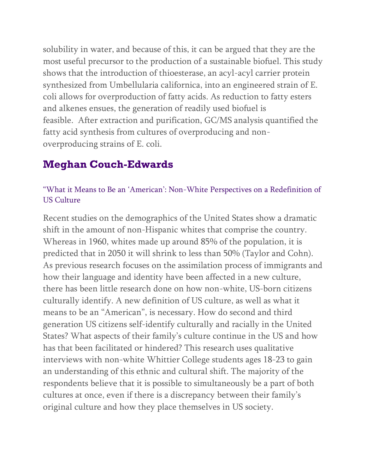solubility in water, and because of this, it can be argued that they are the most useful precursor to the production of a sustainable biofuel. This study shows that the introduction of thioesterase, an acyl-acyl carrier protein synthesized from Umbellularia californica, into an engineered strain of E. coli allows for overproduction of fatty acids. As reduction to fatty esters and alkenes ensues, the generation of readily used biofuel is feasible. After extraction and purification, GC/MS analysis quantified the fatty acid synthesis from cultures of overproducing and nonoverproducing strains of E. coli.

# **Meghan Couch-Edwards**

#### "What it Means to Be an 'American': Non-White Perspectives on a Redefinition of US Culture

Recent studies on the demographics of the United States show a dramatic shift in the amount of non-Hispanic whites that comprise the country. Whereas in 1960, whites made up around 85% of the population, it is predicted that in 2050 it will shrink to less than 50% (Taylor and Cohn). As previous research focuses on the assimilation process of immigrants and how their language and identity have been affected in a new culture, there has been little research done on how non-white, US-born citizens culturally identify. A new definition of US culture, as well as what it means to be an "American", is necessary. How do second and third generation US citizens self-identify culturally and racially in the United States? What aspects of their family's culture continue in the US and how has that been facilitated or hindered? This research uses qualitative interviews with non-white Whittier College students ages 18-23 to gain an understanding of this ethnic and cultural shift. The majority of the respondents believe that it is possible to simultaneously be a part of both cultures at once, even if there is a discrepancy between their family's original culture and how they place themselves in US society.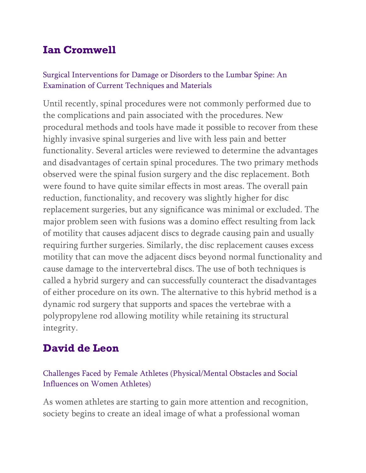## **Ian Cromwell**

#### Surgical Interventions for Damage or Disorders to the Lumbar Spine: An Examination of Current Techniques and Materials

Until recently, spinal procedures were not commonly performed due to the complications and pain associated with the procedures. New procedural methods and tools have made it possible to recover from these highly invasive spinal surgeries and live with less pain and better functionality. Several articles were reviewed to determine the advantages and disadvantages of certain spinal procedures. The two primary methods observed were the spinal fusion surgery and the disc replacement. Both were found to have quite similar effects in most areas. The overall pain reduction, functionality, and recovery was slightly higher for disc replacement surgeries, but any significance was minimal or excluded. The major problem seen with fusions was a domino effect resulting from lack of motility that causes adjacent discs to degrade causing pain and usually requiring further surgeries. Similarly, the disc replacement causes excess motility that can move the adjacent discs beyond normal functionality and cause damage to the intervertebral discs. The use of both techniques is called a hybrid surgery and can successfully counteract the disadvantages of either procedure on its own. The alternative to this hybrid method is a dynamic rod surgery that supports and spaces the vertebrae with a polypropylene rod allowing motility while retaining its structural integrity.

# **David de Leon**

Challenges Faced by Female Athletes (Physical/Mental Obstacles and Social Influences on Women Athletes)

As women athletes are starting to gain more attention and recognition, society begins to create an ideal image of what a professional woman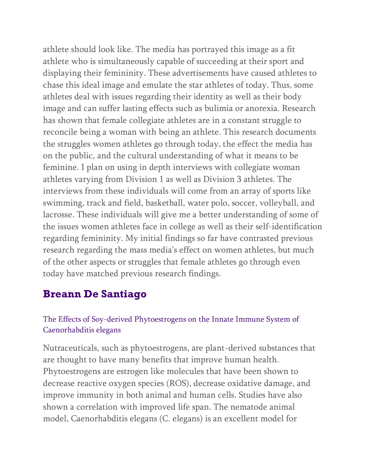athlete should look like. The media has portrayed this image as a fit athlete who is simultaneously capable of succeeding at their sport and displaying their femininity. These advertisements have caused athletes to chase this ideal image and emulate the star athletes of today. Thus, some athletes deal with issues regarding their identity as well as their body image and can suffer lasting effects such as bulimia or anorexia. Research has shown that female collegiate athletes are in a constant struggle to reconcile being a woman with being an athlete. This research documents the struggles women athletes go through today, the effect the media has on the public, and the cultural understanding of what it means to be feminine. I plan on using in depth interviews with collegiate woman athletes varying from Division 1 as well as Division 3 athletes. The interviews from these individuals will come from an array of sports like swimming, track and field, basketball, water polo, soccer, volleyball, and lacrosse. These individuals will give me a better understanding of some of the issues women athletes face in college as well as their self-identification regarding femininity. My initial findings so far have contrasted previous research regarding the mass media's effect on women athletes, but much of the other aspects or struggles that female athletes go through even today have matched previous research findings.

### **Breann De Santiago**

#### The Effects of Soy-derived Phytoestrogens on the Innate Immune System of Caenorhabditis elegans

Nutraceuticals, such as phytoestrogens, are plant-derived substances that are thought to have many benefits that improve human health. Phytoestrogens are estrogen like molecules that have been shown to decrease reactive oxygen species (ROS), decrease oxidative damage, and improve immunity in both animal and human cells. Studies have also shown a correlation with improved life span. The nematode animal model, Caenorhabditis elegans (C. elegans) is an excellent model for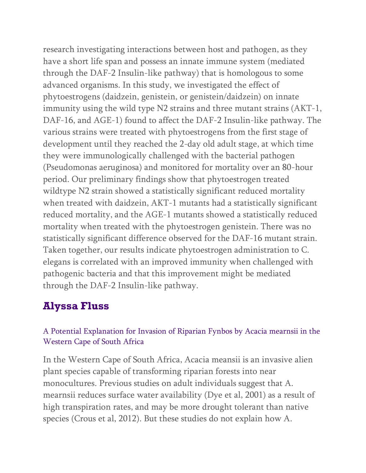research investigating interactions between host and pathogen, as they have a short life span and possess an innate immune system (mediated through the DAF-2 Insulin-like pathway) that is homologous to some advanced organisms. In this study, we investigated the effect of phytoestrogens (daidzein, genistein, or genistein/daidzein) on innate immunity using the wild type N2 strains and three mutant strains (AKT-1, DAF-16, and AGE-1) found to affect the DAF-2 Insulin-like pathway. The various strains were treated with phytoestrogens from the first stage of development until they reached the 2-day old adult stage, at which time they were immunologically challenged with the bacterial pathogen (Pseudomonas aeruginosa) and monitored for mortality over an 80-hour period. Our preliminary findings show that phytoestrogen treated wildtype N2 strain showed a statistically significant reduced mortality when treated with daidzein, AKT-1 mutants had a statistically significant reduced mortality, and the AGE-1 mutants showed a statistically reduced mortality when treated with the phytoestrogen genistein. There was no statistically significant difference observed for the DAF-16 mutant strain. Taken together, our results indicate phytoestrogen administration to C. elegans is correlated with an improved immunity when challenged with pathogenic bacteria and that this improvement might be mediated through the DAF-2 Insulin-like pathway.

### **Alyssa Fluss**

#### A Potential Explanation for Invasion of Riparian Fynbos by Acacia mearnsii in the Western Cape of South Africa

In the Western Cape of South Africa, Acacia meansii is an invasive alien plant species capable of transforming riparian forests into near monocultures. Previous studies on adult individuals suggest that A. mearnsii reduces surface water availability (Dye et al, 2001) as a result of high transpiration rates, and may be more drought tolerant than native species (Crous et al, 2012). But these studies do not explain how A.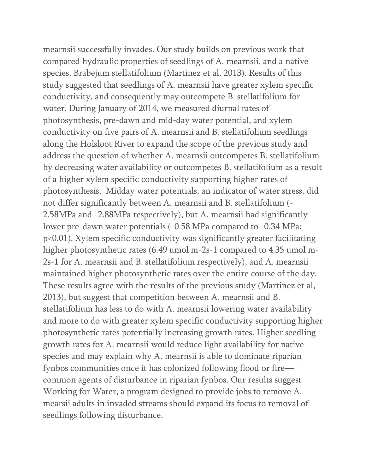mearnsii successfully invades. Our study builds on previous work that compared hydraulic properties of seedlings of A. mearnsii, and a native species, Brabejum stellatifolium (Martinez et al, 2013). Results of this study suggested that seedlings of A. mearnsii have greater xylem specific conductivity, and consequently may outcompete B. stellatifolium for water. During January of 2014, we measured diurnal rates of photosynthesis, pre-dawn and mid-day water potential, and xylem conductivity on five pairs of A. mearnsii and B. stellatifolium seedlings along the Holsloot River to expand the scope of the previous study and address the question of whether A. mearnsii outcompetes B. stellatifolium by decreasing water availability or outcompetes B. stellatifolium as a result of a higher xylem specific conductivity supporting higher rates of photosynthesis. Midday water potentials, an indicator of water stress, did not differ significantly between A. mearnsii and B. stellatifolium (- 2.58MPa and -2.88MPa respectively), but A. mearnsii had significantly lower pre-dawn water potentials (-0.58 MPa compared to -0.34 MPa; p<0.01). Xylem specific conductivity was significantly greater facilitating higher photosynthetic rates (6.49 umol m-2s-1 compared to 4.35 umol m-2s-1 for A. mearnsii and B. stellatifolium respectively), and A. mearnsii maintained higher photosynthetic rates over the entire course of the day. These results agree with the results of the previous study (Martinez et al, 2013), but suggest that competition between A. mearnsii and B. stellatifolium has less to do with A. mearnsii lowering water availability and more to do with greater xylem specific conductivity supporting higher photosynthetic rates potentially increasing growth rates. Higher seedling growth rates for A. mearnsii would reduce light availability for native species and may explain why A. mearnsii is able to dominate riparian fynbos communities once it has colonized following flood or fire common agents of disturbance in riparian fynbos. Our results suggest Working for Water, a program designed to provide jobs to remove A. mearsii adults in invaded streams should expand its focus to removal of seedlings following disturbance.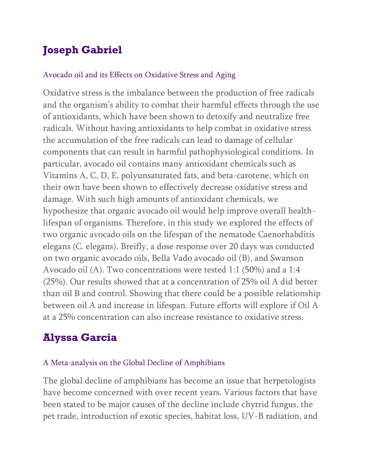# **Joseph Gabriel**

#### Avocado oil and its Effects on Oxidative Stress and Aging

Oxidative stress is the imbalance between the production of free radicals and the organism's ability to combat their harmful effects through the use of antioxidants, which have been shown to detoxify and neutralize free radicals. Without having antioxidants to help combat in oxidative stress the accumulation of the free radicals can lead to damage of cellular components that can result in harmful pathophysiological conditions. In particular, avocado oil contains many antioxidant chemicals such as Vitamins A, C, D, E, polyunsaturated fats, and beta-carotene, which on their own have been shown to effectively decrease oxidative stress and damage. With such high amounts of antioxidant chemicals, we hypothesize that organic avocado oil would help improve overall healthlifespan of organisms. Therefore, in this study we explored the effects of two organic avocado oils on the lifespan of the nematode Caenorhabditis elegans (C. elegans). Breifly, a dose response over 20 days was conducted on two organic avocado oils, Bella Vado avocado oil (B), and Swanson Avocado oil (A). Two concentrations were tested 1:1 (50%) and a 1:4 (25%). Our results showed that at a concentration of 25% oil A did better than oil B and control. Showing that there could be a possible relationship between oil A and increase in lifespan. Future efforts will explore if Oil A at a 25% concentration can also increase resistance to oxidative stress.

## **Alyssa Garcia**

#### A Meta-analysis on the Global Decline of Amphibians

The global decline of amphibians has become an issue that herpetologists have become concerned with over recent years. Various factors that have been stated to be major causes of the decline include chytrid fungus, the pet trade, introduction of exotic species, habitat loss, UV-B radiation, and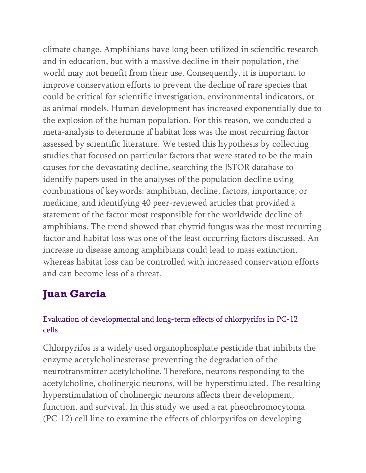climate change. Amphibians have long been utilized in scientific research and in education, but with a massive decline in their population, the world may not benefit from their use. Consequently, it is important to improve conservation efforts to prevent the decline of rare species that could be critical for scientific investigation, environmental indicators, or as animal models. Human development has increased exponentially due to the explosion of the human population. For this reason, we conducted a meta-analysis to determine if habitat loss was the most recurring factor assessed by scientific literature. We tested this hypothesis by collecting studies that focused on particular factors that were stated to be the main causes for the devastating decline, searching the JSTOR database to identify papers used in the analyses of the population decline using combinations of keywords: amphibian, decline, factors, importance, or medicine, and identifying 40 peer-reviewed articles that provided a statement of the factor most responsible for the worldwide decline of amphibians. The trend showed that chytrid fungus was the most recurring factor and habitat loss was one of the least occurring factors discussed. An increase in disease among amphibians could lead to mass extinction, whereas habitat loss can be controlled with increased conservation efforts and can become less of a threat.

# **Juan Garcia**

#### Evaluation of developmental and long-term effects of chlorpyrifos in PC-12 cells

Chlorpyrifos is a widely used organophosphate pesticide that inhibits the enzyme acetylcholinesterase preventing the degradation of the neurotransmitter acetylcholine. Therefore, neurons responding to the acetylcholine, cholinergic neurons, will be hyperstimulated. The resulting hyperstimulation of cholinergic neurons affects their development, function, and survival. In this study we used a rat pheochromocytoma (PC-12) cell line to examine the effects of chlorpyrifos on developing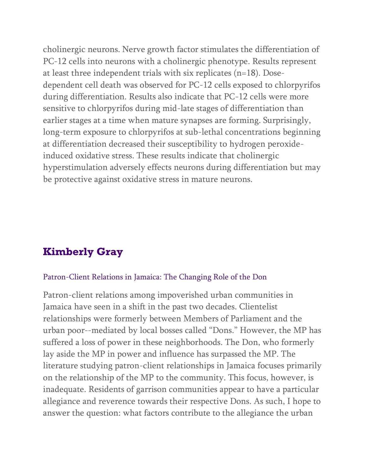cholinergic neurons. Nerve growth factor stimulates the differentiation of PC-12 cells into neurons with a cholinergic phenotype. Results represent at least three independent trials with six replicates (n=18). Dosedependent cell death was observed for PC-12 cells exposed to chlorpyrifos during differentiation. Results also indicate that PC-12 cells were more sensitive to chlorpyrifos during mid-late stages of differentiation than earlier stages at a time when mature synapses are forming. Surprisingly, long-term exposure to chlorpyrifos at sub-lethal concentrations beginning at differentiation decreased their susceptibility to hydrogen peroxideinduced oxidative stress. These results indicate that cholinergic hyperstimulation adversely effects neurons during differentiation but may be protective against oxidative stress in mature neurons.

## **Kimberly Gray**

#### Patron-Client Relations in Jamaica: The Changing Role of the Don

Patron-client relations among impoverished urban communities in Jamaica have seen in a shift in the past two decades. Clientelist relationships were formerly between Members of Parliament and the urban poor--mediated by local bosses called "Dons." However, the MP has suffered a loss of power in these neighborhoods. The Don, who formerly lay aside the MP in power and influence has surpassed the MP. The literature studying patron-client relationships in Jamaica focuses primarily on the relationship of the MP to the community. This focus, however, is inadequate. Residents of garrison communities appear to have a particular allegiance and reverence towards their respective Dons. As such, I hope to answer the question: what factors contribute to the allegiance the urban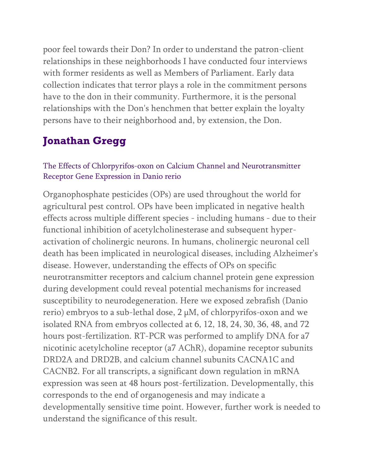poor feel towards their Don? In order to understand the patron-client relationships in these neighborhoods I have conducted four interviews with former residents as well as Members of Parliament. Early data collection indicates that terror plays a role in the commitment persons have to the don in their community. Furthermore, it is the personal relationships with the Don's henchmen that better explain the loyalty persons have to their neighborhood and, by extension, the Don.

## **Jonathan Gregg**

#### The Effects of Chlorpyrifos-oxon on Calcium Channel and Neurotransmitter Receptor Gene Expression in Danio rerio

Organophosphate pesticides (OPs) are used throughout the world for agricultural pest control. OPs have been implicated in negative health effects across multiple different species - including humans - due to their functional inhibition of acetylcholinesterase and subsequent hyperactivation of cholinergic neurons. In humans, cholinergic neuronal cell death has been implicated in neurological diseases, including Alzheimer's disease. However, understanding the effects of OPs on specific neurotransmitter receptors and calcium channel protein gene expression during development could reveal potential mechanisms for increased susceptibility to neurodegeneration. Here we exposed zebrafish (Danio rerio) embryos to a sub-lethal dose,  $2 \mu$ M, of chlorpyrifos-oxon and we isolated RNA from embryos collected at 6, 12, 18, 24, 30, 36, 48, and 72 hours post-fertilization. RT-PCR was performed to amplify DNA for a7 nicotinic acetylcholine receptor (a7 AChR), dopamine receptor subunits DRD2A and DRD2B, and calcium channel subunits CACNA1C and CACNB2. For all transcripts, a significant down regulation in mRNA expression was seen at 48 hours post-fertilization. Developmentally, this corresponds to the end of organogenesis and may indicate a developmentally sensitive time point. However, further work is needed to understand the significance of this result.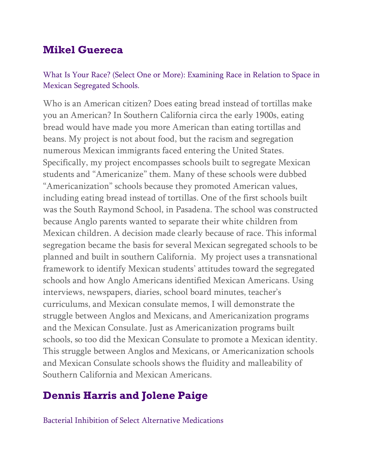### **Mikel Guereca**

#### What Is Your Race? (Select One or More): Examining Race in Relation to Space in Mexican Segregated Schools.

Who is an American citizen? Does eating bread instead of tortillas make you an American? In Southern California circa the early 1900s, eating bread would have made you more American than eating tortillas and beans. My project is not about food, but the racism and segregation numerous Mexican immigrants faced entering the United States. Specifically, my project encompasses schools built to segregate Mexican students and "Americanize" them. Many of these schools were dubbed "Americanization" schools because they promoted American values, including eating bread instead of tortillas. One of the first schools built was the South Raymond School, in Pasadena. The school was constructed because Anglo parents wanted to separate their white children from Mexican children. A decision made clearly because of race. This informal segregation became the basis for several Mexican segregated schools to be planned and built in southern California. My project uses a transnational framework to identify Mexican students' attitudes toward the segregated schools and how Anglo Americans identified Mexican Americans. Using interviews, newspapers, diaries, school board minutes, teacher's curriculums, and Mexican consulate memos, I will demonstrate the struggle between Anglos and Mexicans, and Americanization programs and the Mexican Consulate. Just as Americanization programs built schools, so too did the Mexican Consulate to promote a Mexican identity. This struggle between Anglos and Mexicans, or Americanization schools and Mexican Consulate schools shows the fluidity and malleability of Southern California and Mexican Americans.

## **Dennis Harris and Jolene Paige**

Bacterial Inhibition of Select Alternative Medications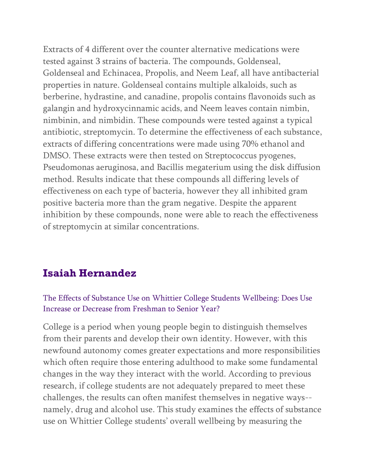Extracts of 4 different over the counter alternative medications were tested against 3 strains of bacteria. The compounds, Goldenseal, Goldenseal and Echinacea, Propolis, and Neem Leaf, all have antibacterial properties in nature. Goldenseal contains multiple alkaloids, such as berberine, hydrastine, and canadine, propolis contains flavonoids such as galangin and hydroxycinnamic acids, and Neem leaves contain nimbin, nimbinin, and nimbidin. These compounds were tested against a typical antibiotic, streptomycin. To determine the effectiveness of each substance, extracts of differing concentrations were made using 70% ethanol and DMSO. These extracts were then tested on Streptococcus pyogenes, Pseudomonas aeruginosa, and Bacillis megaterium using the disk diffusion method. Results indicate that these compounds all differing levels of effectiveness on each type of bacteria, however they all inhibited gram positive bacteria more than the gram negative. Despite the apparent inhibition by these compounds, none were able to reach the effectiveness of streptomycin at similar concentrations.

## **Isaiah Hernandez**

#### The Effects of Substance Use on Whittier College Students Wellbeing: Does Use Increase or Decrease from Freshman to Senior Year?

College is a period when young people begin to distinguish themselves from their parents and develop their own identity. However, with this newfound autonomy comes greater expectations and more responsibilities which often require those entering adulthood to make some fundamental changes in the way they interact with the world. According to previous research, if college students are not adequately prepared to meet these challenges, the results can often manifest themselves in negative ways- namely, drug and alcohol use. This study examines the effects of substance use on Whittier College students' overall wellbeing by measuring the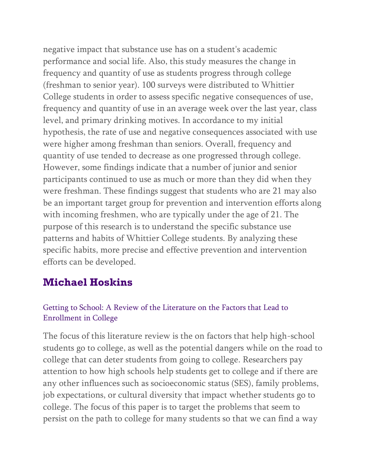negative impact that substance use has on a student's academic performance and social life. Also, this study measures the change in frequency and quantity of use as students progress through college (freshman to senior year). 100 surveys were distributed to Whittier College students in order to assess specific negative consequences of use, frequency and quantity of use in an average week over the last year, class level, and primary drinking motives. In accordance to my initial hypothesis, the rate of use and negative consequences associated with use were higher among freshman than seniors. Overall, frequency and quantity of use tended to decrease as one progressed through college. However, some findings indicate that a number of junior and senior participants continued to use as much or more than they did when they were freshman. These findings suggest that students who are 21 may also be an important target group for prevention and intervention efforts along with incoming freshmen, who are typically under the age of 21. The purpose of this research is to understand the specific substance use patterns and habits of Whittier College students. By analyzing these specific habits, more precise and effective prevention and intervention efforts can be developed.

### **Michael Hoskins**

### Getting to School: A Review of the Literature on the Factors that Lead to Enrollment in College

The focus of this literature review is the on factors that help high-school students go to college, as well as the potential dangers while on the road to college that can deter students from going to college. Researchers pay attention to how high schools help students get to college and if there are any other influences such as socioeconomic status (SES), family problems, job expectations, or cultural diversity that impact whether students go to college. The focus of this paper is to target the problems that seem to persist on the path to college for many students so that we can find a way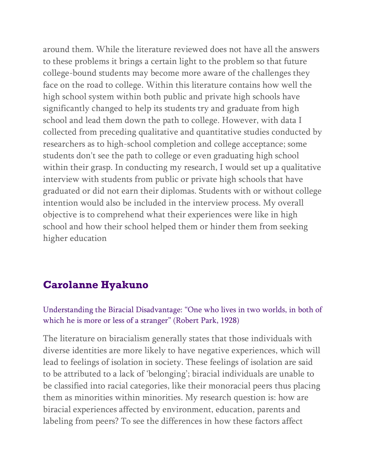around them. While the literature reviewed does not have all the answers to these problems it brings a certain light to the problem so that future college-bound students may become more aware of the challenges they face on the road to college. Within this literature contains how well the high school system within both public and private high schools have significantly changed to help its students try and graduate from high school and lead them down the path to college. However, with data I collected from preceding qualitative and quantitative studies conducted by researchers as to high-school completion and college acceptance; some students don't see the path to college or even graduating high school within their grasp. In conducting my research, I would set up a qualitative interview with students from public or private high schools that have graduated or did not earn their diplomas. Students with or without college intention would also be included in the interview process. My overall objective is to comprehend what their experiences were like in high school and how their school helped them or hinder them from seeking higher education

### **Carolanne Hyakuno**

Understanding the Biracial Disadvantage: "One who lives in two worlds, in both of which he is more or less of a stranger" (Robert Park, 1928)

The literature on biracialism generally states that those individuals with diverse identities are more likely to have negative experiences, which will lead to feelings of isolation in society. These feelings of isolation are said to be attributed to a lack of 'belonging'; biracial individuals are unable to be classified into racial categories, like their monoracial peers thus placing them as minorities within minorities. My research question is: how are biracial experiences affected by environment, education, parents and labeling from peers? To see the differences in how these factors affect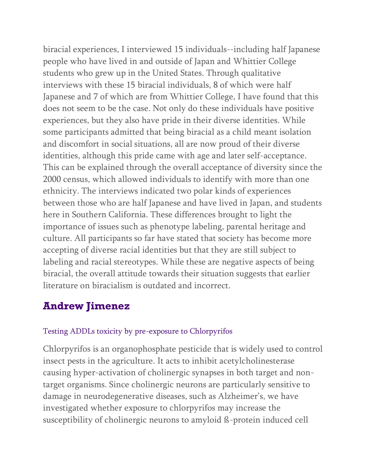biracial experiences, I interviewed 15 individuals--including half Japanese people who have lived in and outside of Japan and Whittier College students who grew up in the United States. Through qualitative interviews with these 15 biracial individuals, 8 of which were half Japanese and 7 of which are from Whittier College, I have found that this does not seem to be the case. Not only do these individuals have positive experiences, but they also have pride in their diverse identities. While some participants admitted that being biracial as a child meant isolation and discomfort in social situations, all are now proud of their diverse identities, although this pride came with age and later self-acceptance. This can be explained through the overall acceptance of diversity since the 2000 census, which allowed individuals to identify with more than one ethnicity. The interviews indicated two polar kinds of experiences between those who are half Japanese and have lived in Japan, and students here in Southern California. These differences brought to light the importance of issues such as phenotype labeling, parental heritage and culture. All participants so far have stated that society has become more accepting of diverse racial identities but that they are still subject to labeling and racial stereotypes. While these are negative aspects of being biracial, the overall attitude towards their situation suggests that earlier literature on biracialism is outdated and incorrect.

## **Andrew Jimenez**

#### Testing ADDLs toxicity by pre-exposure to Chlorpyrifos

Chlorpyrifos is an organophosphate pesticide that is widely used to control insect pests in the agriculture. It acts to inhibit acetylcholinesterase causing hyper-activation of cholinergic synapses in both target and nontarget organisms. Since cholinergic neurons are particularly sensitive to damage in neurodegenerative diseases, such as Alzheimer's, we have investigated whether exposure to chlorpyrifos may increase the susceptibility of cholinergic neurons to amyloid ß-protein induced cell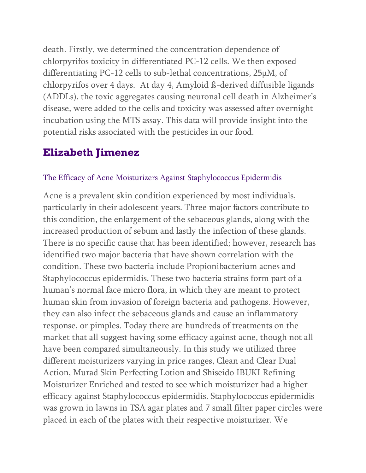death. Firstly, we determined the concentration dependence of chlorpyrifos toxicity in differentiated PC-12 cells. We then exposed differentiating PC-12 cells to sub-lethal concentrations, 25µM, of chlorpyrifos over 4 days. At day 4, Amyloid ß-derived diffusible ligands (ADDLs), the toxic aggregates causing neuronal cell death in Alzheimer's disease, were added to the cells and toxicity was assessed after overnight incubation using the MTS assay. This data will provide insight into the potential risks associated with the pesticides in our food.

## **Elizabeth Jimenez**

#### The Efficacy of Acne Moisturizers Against Staphylococcus Epidermidis

Acne is a prevalent skin condition experienced by most individuals, particularly in their adolescent years. Three major factors contribute to this condition, the enlargement of the sebaceous glands, along with the increased production of sebum and lastly the infection of these glands. There is no specific cause that has been identified; however, research has identified two major bacteria that have shown correlation with the condition. These two bacteria include Propionibacterium acnes and Staphylococcus epidermidis. These two bacteria strains form part of a human's normal face micro flora, in which they are meant to protect human skin from invasion of foreign bacteria and pathogens. However, they can also infect the sebaceous glands and cause an inflammatory response, or pimples. Today there are hundreds of treatments on the market that all suggest having some efficacy against acne, though not all have been compared simultaneously. In this study we utilized three different moisturizers varying in price ranges, Clean and Clear Dual Action, Murad Skin Perfecting Lotion and Shiseido IBUKI Refining Moisturizer Enriched and tested to see which moisturizer had a higher efficacy against Staphylococcus epidermidis. Staphylococcus epidermidis was grown in lawns in TSA agar plates and 7 small filter paper circles were placed in each of the plates with their respective moisturizer. We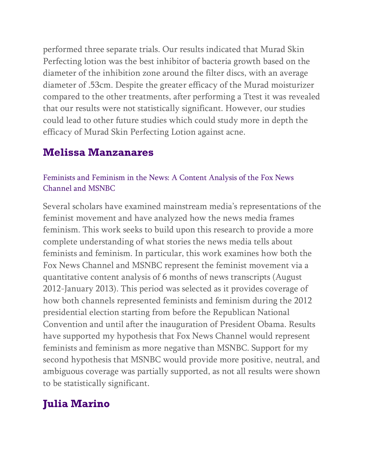performed three separate trials. Our results indicated that Murad Skin Perfecting lotion was the best inhibitor of bacteria growth based on the diameter of the inhibition zone around the filter discs, with an average diameter of .53cm. Despite the greater efficacy of the Murad moisturizer compared to the other treatments, after performing a Ttest it was revealed that our results were not statistically significant. However, our studies could lead to other future studies which could study more in depth the efficacy of Murad Skin Perfecting Lotion against acne.

### **Melissa Manzanares**

#### Feminists and Feminism in the News: A Content Analysis of the Fox News Channel and MSNBC

Several scholars have examined mainstream media's representations of the feminist movement and have analyzed how the news media frames feminism. This work seeks to build upon this research to provide a more complete understanding of what stories the news media tells about feminists and feminism. In particular, this work examines how both the Fox News Channel and MSNBC represent the feminist movement via a quantitative content analysis of 6 months of news transcripts (August 2012-January 2013). This period was selected as it provides coverage of how both channels represented feminists and feminism during the 2012 presidential election starting from before the Republican National Convention and until after the inauguration of President Obama. Results have supported my hypothesis that Fox News Channel would represent feminists and feminism as more negative than MSNBC. Support for my second hypothesis that MSNBC would provide more positive, neutral, and ambiguous coverage was partially supported, as not all results were shown to be statistically significant.

# **Julia Marino**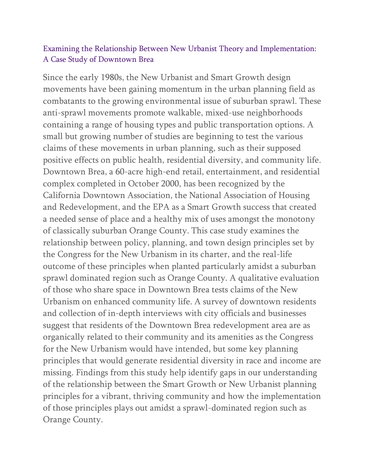#### Examining the Relationship Between New Urbanist Theory and Implementation: A Case Study of Downtown Brea

Since the early 1980s, the New Urbanist and Smart Growth design movements have been gaining momentum in the urban planning field as combatants to the growing environmental issue of suburban sprawl. These anti-sprawl movements promote walkable, mixed-use neighborhoods containing a range of housing types and public transportation options. A small but growing number of studies are beginning to test the various claims of these movements in urban planning, such as their supposed positive effects on public health, residential diversity, and community life. Downtown Brea, a 60-acre high-end retail, entertainment, and residential complex completed in October 2000, has been recognized by the California Downtown Association, the National Association of Housing and Redevelopment, and the EPA as a Smart Growth success that created a needed sense of place and a healthy mix of uses amongst the monotony of classically suburban Orange County. This case study examines the relationship between policy, planning, and town design principles set by the Congress for the New Urbanism in its charter, and the real-life outcome of these principles when planted particularly amidst a suburban sprawl dominated region such as Orange County. A qualitative evaluation of those who share space in Downtown Brea tests claims of the New Urbanism on enhanced community life. A survey of downtown residents and collection of in-depth interviews with city officials and businesses suggest that residents of the Downtown Brea redevelopment area are as organically related to their community and its amenities as the Congress for the New Urbanism would have intended, but some key planning principles that would generate residential diversity in race and income are missing. Findings from this study help identify gaps in our understanding of the relationship between the Smart Growth or New Urbanist planning principles for a vibrant, thriving community and how the implementation of those principles plays out amidst a sprawl-dominated region such as Orange County.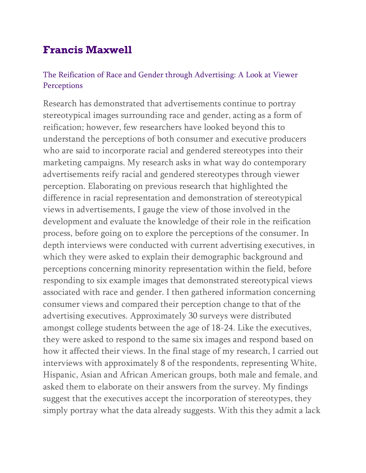## **Francis Maxwell**

#### The Reification of Race and Gender through Advertising: A Look at Viewer **Perceptions**

Research has demonstrated that advertisements continue to portray stereotypical images surrounding race and gender, acting as a form of reification; however, few researchers have looked beyond this to understand the perceptions of both consumer and executive producers who are said to incorporate racial and gendered stereotypes into their marketing campaigns. My research asks in what way do contemporary advertisements reify racial and gendered stereotypes through viewer perception. Elaborating on previous research that highlighted the difference in racial representation and demonstration of stereotypical views in advertisements, I gauge the view of those involved in the development and evaluate the knowledge of their role in the reification process, before going on to explore the perceptions of the consumer. In depth interviews were conducted with current advertising executives, in which they were asked to explain their demographic background and perceptions concerning minority representation within the field, before responding to six example images that demonstrated stereotypical views associated with race and gender. I then gathered information concerning consumer views and compared their perception change to that of the advertising executives. Approximately 30 surveys were distributed amongst college students between the age of 18-24. Like the executives, they were asked to respond to the same six images and respond based on how it affected their views. In the final stage of my research, I carried out interviews with approximately 8 of the respondents, representing White, Hispanic, Asian and African American groups, both male and female, and asked them to elaborate on their answers from the survey. My findings suggest that the executives accept the incorporation of stereotypes, they simply portray what the data already suggests. With this they admit a lack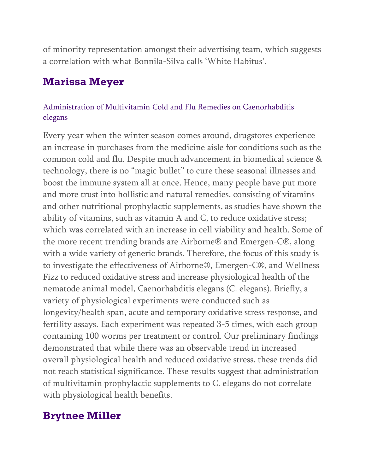of minority representation amongst their advertising team, which suggests a correlation with what Bonnila-Silva calls 'White Habitus'.

### **Marissa Meyer**

#### Administration of Multivitamin Cold and Flu Remedies on Caenorhabditis elegans

Every year when the winter season comes around, drugstores experience an increase in purchases from the medicine aisle for conditions such as the common cold and flu. Despite much advancement in biomedical science & technology, there is no "magic bullet" to cure these seasonal illnesses and boost the immune system all at once. Hence, many people have put more and more trust into hollistic and natural remedies, consisting of vitamins and other nutritional prophylactic supplements, as studies have shown the ability of vitamins, such as vitamin A and C, to reduce oxidative stress; which was correlated with an increase in cell viability and health. Some of the more recent trending brands are Airborne® and Emergen-C®, along with a wide variety of generic brands. Therefore, the focus of this study is to investigate the effectiveness of Airborne®, Emergen-C®, and Wellness Fizz to reduced oxidative stress and increase physiological health of the nematode animal model, Caenorhabditis elegans (C. elegans). Briefly, a variety of physiological experiments were conducted such as longevity/health span, acute and temporary oxidative stress response, and fertility assays. Each experiment was repeated 3-5 times, with each group containing 100 worms per treatment or control. Our preliminary findings demonstrated that while there was an observable trend in increased overall physiological health and reduced oxidative stress, these trends did not reach statistical significance. These results suggest that administration of multivitamin prophylactic supplements to C. elegans do not correlate with physiological health benefits.

## **Brytnee Miller**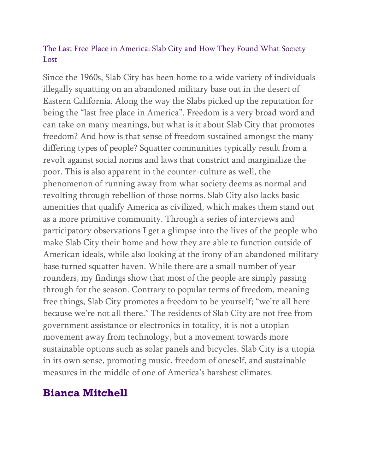#### The Last Free Place in America: Slab City and How They Found What Society Lost

Since the 1960s, Slab City has been home to a wide variety of individuals illegally squatting on an abandoned military base out in the desert of Eastern California. Along the way the Slabs picked up the reputation for being the "last free place in America". Freedom is a very broad word and can take on many meanings, but what is it about Slab City that promotes freedom? And how is that sense of freedom sustained amongst the many differing types of people? Squatter communities typically result from a revolt against social norms and laws that constrict and marginalize the poor. This is also apparent in the counter-culture as well, the phenomenon of running away from what society deems as normal and revolting through rebellion of those norms. Slab City also lacks basic amenities that qualify America as civilized, which makes them stand out as a more primitive community. Through a series of interviews and participatory observations I get a glimpse into the lives of the people who make Slab City their home and how they are able to function outside of American ideals, while also looking at the irony of an abandoned military base turned squatter haven. While there are a small number of year rounders, my findings show that most of the people are simply passing through for the season. Contrary to popular terms of freedom, meaning free things, Slab City promotes a freedom to be yourself; "we're all here because we're not all there." The residents of Slab City are not free from government assistance or electronics in totality, it is not a utopian movement away from technology, but a movement towards more sustainable options such as solar panels and bicycles. Slab City is a utopia in its own sense, promoting music, freedom of oneself, and sustainable measures in the middle of one of America's harshest climates.

### **Bianca Mitchell**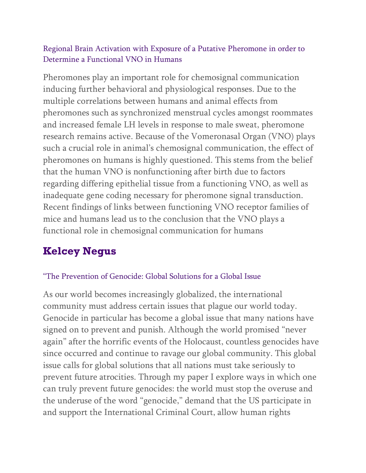#### Regional Brain Activation with Exposure of a Putative Pheromone in order to Determine a Functional VNO in Humans

Pheromones play an important role for chemosignal communication inducing further behavioral and physiological responses. Due to the multiple correlations between humans and animal effects from pheromones such as synchronized menstrual cycles amongst roommates and increased female LH levels in response to male sweat, pheromone research remains active. Because of the Vomeronasal Organ (VNO) plays such a crucial role in animal's chemosignal communication, the effect of pheromones on humans is highly questioned. This stems from the belief that the human VNO is nonfunctioning after birth due to factors regarding differing epithelial tissue from a functioning VNO, as well as inadequate gene coding necessary for pheromone signal transduction. Recent findings of links between functioning VNO receptor families of mice and humans lead us to the conclusion that the VNO plays a functional role in chemosignal communication for humans

# **Kelcey Negus**

#### "The Prevention of Genocide: Global Solutions for a Global Issue

As our world becomes increasingly globalized, the international community must address certain issues that plague our world today. Genocide in particular has become a global issue that many nations have signed on to prevent and punish. Although the world promised "never again" after the horrific events of the Holocaust, countless genocides have since occurred and continue to ravage our global community. This global issue calls for global solutions that all nations must take seriously to prevent future atrocities. Through my paper I explore ways in which one can truly prevent future genocides: the world must stop the overuse and the underuse of the word "genocide," demand that the US participate in and support the International Criminal Court, allow human rights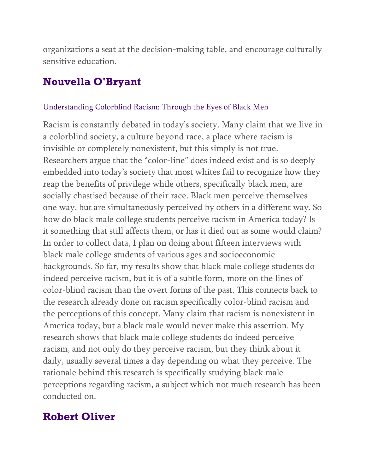organizations a seat at the decision-making table, and encourage culturally sensitive education.

## **Nouvella O'Bryant**

#### Understanding Colorblind Racism: Through the Eyes of Black Men

Racism is constantly debated in today's society. Many claim that we live in a colorblind society, a culture beyond race, a place where racism is invisible or completely nonexistent, but this simply is not true. Researchers argue that the "color-line" does indeed exist and is so deeply embedded into today's society that most whites fail to recognize how they reap the benefits of privilege while others, specifically black men, are socially chastised because of their race. Black men perceive themselves one way, but are simultaneously perceived by others in a different way. So how do black male college students perceive racism in America today? Is it something that still affects them, or has it died out as some would claim? In order to collect data, I plan on doing about fifteen interviews with black male college students of various ages and socioeconomic backgrounds. So far, my results show that black male college students do indeed perceive racism, but it is of a subtle form, more on the lines of color-blind racism than the overt forms of the past. This connects back to the research already done on racism specifically color-blind racism and the perceptions of this concept. Many claim that racism is nonexistent in America today, but a black male would never make this assertion. My research shows that black male college students do indeed perceive racism, and not only do they perceive racism, but they think about it daily, usually several times a day depending on what they perceive. The rationale behind this research is specifically studying black male perceptions regarding racism, a subject which not much research has been conducted on.

### **Robert Oliver**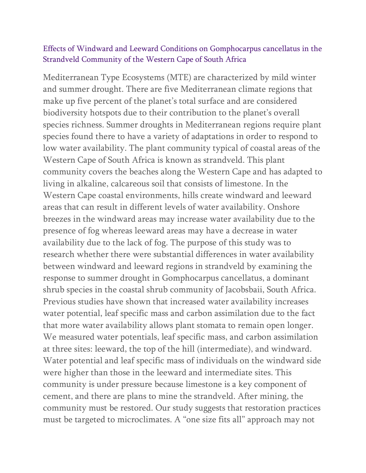#### Effects of Windward and Leeward Conditions on Gomphocarpus cancellatus in the Strandveld Community of the Western Cape of South Africa

Mediterranean Type Ecosystems (MTE) are characterized by mild winter and summer drought. There are five Mediterranean climate regions that make up five percent of the planet's total surface and are considered biodiversity hotspots due to their contribution to the planet's overall species richness. Summer droughts in Mediterranean regions require plant species found there to have a variety of adaptations in order to respond to low water availability. The plant community typical of coastal areas of the Western Cape of South Africa is known as strandveld. This plant community covers the beaches along the Western Cape and has adapted to living in alkaline, calcareous soil that consists of limestone. In the Western Cape coastal environments, hills create windward and leeward areas that can result in different levels of water availability. Onshore breezes in the windward areas may increase water availability due to the presence of fog whereas leeward areas may have a decrease in water availability due to the lack of fog. The purpose of this study was to research whether there were substantial differences in water availability between windward and leeward regions in strandveld by examining the response to summer drought in Gomphocarpus cancellatus, a dominant shrub species in the coastal shrub community of Jacobsbaii, South Africa. Previous studies have shown that increased water availability increases water potential, leaf specific mass and carbon assimilation due to the fact that more water availability allows plant stomata to remain open longer. We measured water potentials, leaf specific mass, and carbon assimilation at three sites: leeward, the top of the hill (intermediate), and windward. Water potential and leaf specific mass of individuals on the windward side were higher than those in the leeward and intermediate sites. This community is under pressure because limestone is a key component of cement, and there are plans to mine the strandveld. After mining, the community must be restored. Our study suggests that restoration practices must be targeted to microclimates. A "one size fits all" approach may not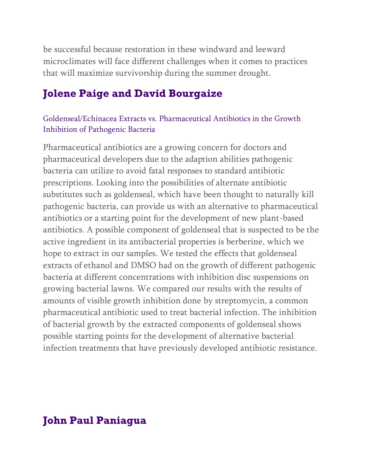be successful because restoration in these windward and leeward microclimates will face different challenges when it comes to practices that will maximize survivorship during the summer drought.

### **Jolene Paige and David Bourgaize**

#### Goldenseal/Echinacea Extracts vs. Pharmaceutical Antibiotics in the Growth Inhibition of Pathogenic Bacteria

Pharmaceutical antibiotics are a growing concern for doctors and pharmaceutical developers due to the adaption abilities pathogenic bacteria can utilize to avoid fatal responses to standard antibiotic prescriptions. Looking into the possibilities of alternate antibiotic substitutes such as goldenseal, which have been thought to naturally kill pathogenic bacteria, can provide us with an alternative to pharmaceutical antibiotics or a starting point for the development of new plant-based antibiotics. A possible component of goldenseal that is suspected to be the active ingredient in its antibacterial properties is berberine, which we hope to extract in our samples. We tested the effects that goldenseal extracts of ethanol and DMSO had on the growth of different pathogenic bacteria at different concentrations with inhibition disc suspensions on growing bacterial lawns. We compared our results with the results of amounts of visible growth inhibition done by streptomycin, a common pharmaceutical antibiotic used to treat bacterial infection. The inhibition of bacterial growth by the extracted components of goldenseal shows possible starting points for the development of alternative bacterial infection treatments that have previously developed antibiotic resistance.

### **John Paul Paniagua**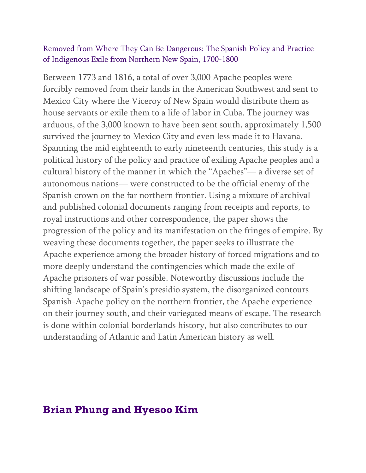#### Removed from Where They Can Be Dangerous: The Spanish Policy and Practice of Indigenous Exile from Northern New Spain, 1700-1800

Between 1773 and 1816, a total of over 3,000 Apache peoples were forcibly removed from their lands in the American Southwest and sent to Mexico City where the Viceroy of New Spain would distribute them as house servants or exile them to a life of labor in Cuba. The journey was arduous, of the 3,000 known to have been sent south, approximately 1,500 survived the journey to Mexico City and even less made it to Havana. Spanning the mid eighteenth to early nineteenth centuries, this study is a political history of the policy and practice of exiling Apache peoples and a cultural history of the manner in which the "Apaches"— a diverse set of autonomous nations— were constructed to be the official enemy of the Spanish crown on the far northern frontier. Using a mixture of archival and published colonial documents ranging from receipts and reports, to royal instructions and other correspondence, the paper shows the progression of the policy and its manifestation on the fringes of empire. By weaving these documents together, the paper seeks to illustrate the Apache experience among the broader history of forced migrations and to more deeply understand the contingencies which made the exile of Apache prisoners of war possible. Noteworthy discussions include the shifting landscape of Spain's presidio system, the disorganized contours Spanish-Apache policy on the northern frontier, the Apache experience on their journey south, and their variegated means of escape. The research is done within colonial borderlands history, but also contributes to our understanding of Atlantic and Latin American history as well.

#### **Brian Phung and Hyesoo Kim**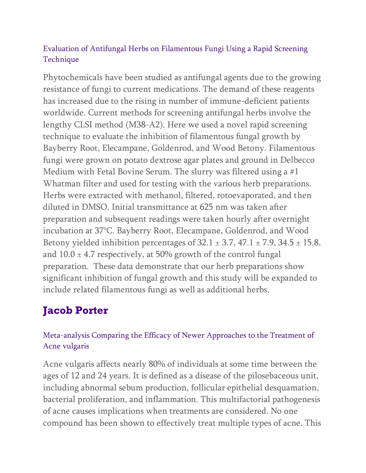#### Evaluation of Antifungal Herbs on Filamentous Fungi Using a Rapid Screening Technique

Phytochemicals have been studied as antifungal agents due to the growing resistance of fungi to current medications. The demand of these reagents has increased due to the rising in number of immune-deficient patients worldwide. Current methods for screening antifungal herbs involve the lengthy CLSI method (M38-A2). Here we used a novel rapid screening technique to evaluate the inhibition of filamentous fungal growth by Bayberry Root, Elecampane, Goldenrod, and Wood Betony. Filamentous fungi were grown on potato dextrose agar plates and ground in Delbecco Medium with Fetal Bovine Serum. The slurry was filtered using a #1 Whatman filter and used for testing with the various herb preparations. Herbs were extracted with methanol, filtered, rotoevaporated, and then diluted in DMSO. Initial transmittance at 625 nm was taken after preparation and subsequent readings were taken hourly after overnight incubation at 37°C. Bayberry Root, Elecampane, Goldenrod, and Wood Betony yielded inhibition percentages of  $32.1 \pm 3.7$ ,  $47.1 \pm 7.9$ ,  $34.5 \pm 15.8$ , and  $10.0 \pm 4.7$  respectively, at 50% growth of the control fungal preparation. These data demonstrate that our herb preparations show significant inhibition of fungal growth and this study will be expanded to include related filamentous fungi as well as additional herbs.

# **Jacob Porter**

#### Meta-analysis Comparing the Efficacy of Newer Approaches to the Treatment of Acne vulgaris

Acne vulgaris affects nearly 80% of individuals at some time between the ages of 12 and 24 years. It is defined as a disease of the pilosebaceous unit, including abnormal sebum production, follicular epithelial desquamation, bacterial proliferation, and inflammation. This multifactorial pathogenesis of acne causes implications when treatments are considered. No one compound has been shown to effectively treat multiple types of acne. This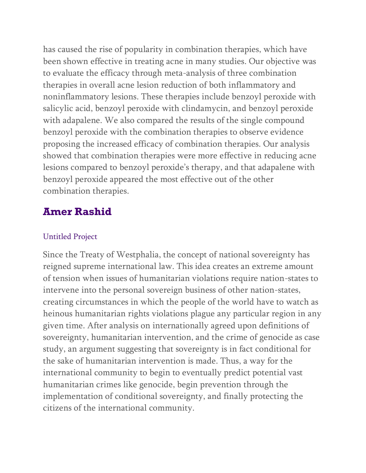has caused the rise of popularity in combination therapies, which have been shown effective in treating acne in many studies. Our objective was to evaluate the efficacy through meta-analysis of three combination therapies in overall acne lesion reduction of both inflammatory and noninflammatory lesions. These therapies include benzoyl peroxide with salicylic acid, benzoyl peroxide with clindamycin, and benzoyl peroxide with adapalene. We also compared the results of the single compound benzoyl peroxide with the combination therapies to observe evidence proposing the increased efficacy of combination therapies. Our analysis showed that combination therapies were more effective in reducing acne lesions compared to benzoyl peroxide's therapy, and that adapalene with benzoyl peroxide appeared the most effective out of the other combination therapies.

## **Amer Rashid**

#### Untitled Project

Since the Treaty of Westphalia, the concept of national sovereignty has reigned supreme international law. This idea creates an extreme amount of tension when issues of humanitarian violations require nation-states to intervene into the personal sovereign business of other nation-states, creating circumstances in which the people of the world have to watch as heinous humanitarian rights violations plague any particular region in any given time. After analysis on internationally agreed upon definitions of sovereignty, humanitarian intervention, and the crime of genocide as case study, an argument suggesting that sovereignty is in fact conditional for the sake of humanitarian intervention is made. Thus, a way for the international community to begin to eventually predict potential vast humanitarian crimes like genocide, begin prevention through the implementation of conditional sovereignty, and finally protecting the citizens of the international community.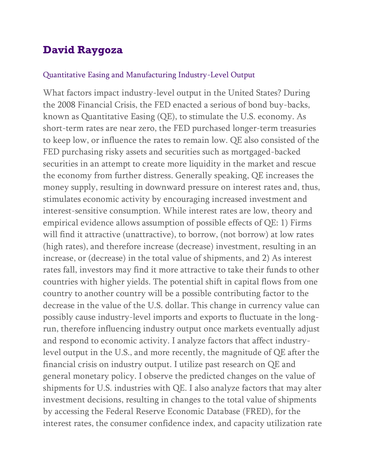## **David Raygoza**

#### Quantitative Easing and Manufacturing Industry-Level Output

What factors impact industry-level output in the United States? During the 2008 Financial Crisis, the FED enacted a serious of bond buy-backs, known as Quantitative Easing (QE), to stimulate the U.S. economy. As short-term rates are near zero, the FED purchased longer-term treasuries to keep low, or influence the rates to remain low. QE also consisted of the FED purchasing risky assets and securities such as mortgaged-backed securities in an attempt to create more liquidity in the market and rescue the economy from further distress. Generally speaking, QE increases the money supply, resulting in downward pressure on interest rates and, thus, stimulates economic activity by encouraging increased investment and interest-sensitive consumption. While interest rates are low, theory and empirical evidence allows assumption of possible effects of QE: 1) Firms will find it attractive (unattractive), to borrow, (not borrow) at low rates (high rates), and therefore increase (decrease) investment, resulting in an increase, or (decrease) in the total value of shipments, and 2) As interest rates fall, investors may find it more attractive to take their funds to other countries with higher yields. The potential shift in capital flows from one country to another country will be a possible contributing factor to the decrease in the value of the U.S. dollar. This change in currency value can possibly cause industry-level imports and exports to fluctuate in the longrun, therefore influencing industry output once markets eventually adjust and respond to economic activity. I analyze factors that affect industrylevel output in the U.S., and more recently, the magnitude of QE after the financial crisis on industry output. I utilize past research on QE and general monetary policy. I observe the predicted changes on the value of shipments for U.S. industries with QE. I also analyze factors that may alter investment decisions, resulting in changes to the total value of shipments by accessing the Federal Reserve Economic Database (FRED), for the interest rates, the consumer confidence index, and capacity utilization rate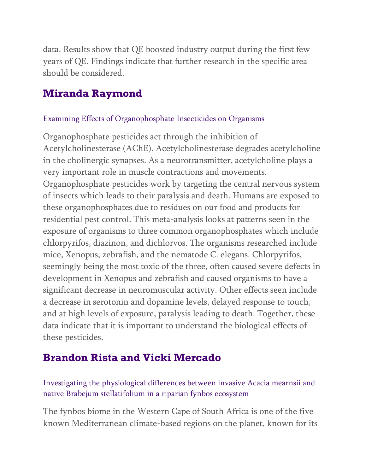data. Results show that QE boosted industry output during the first few years of QE. Findings indicate that further research in the specific area should be considered.

## **Miranda Raymond**

#### Examining Effects of Organophosphate Insecticides on Organisms

Organophosphate pesticides act through the inhibition of Acetylcholinesterase (AChE). Acetylcholinesterase degrades acetylcholine in the cholinergic synapses. As a neurotransmitter, acetylcholine plays a very important role in muscle contractions and movements. Organophosphate pesticides work by targeting the central nervous system of insects which leads to their paralysis and death. Humans are exposed to these organophosphates due to residues on our food and products for residential pest control. This meta-analysis looks at patterns seen in the exposure of organisms to three common organophosphates which include chlorpyrifos, diazinon, and dichlorvos. The organisms researched include mice, Xenopus, zebrafish, and the nematode C. elegans. Chlorpyrifos, seemingly being the most toxic of the three, often caused severe defects in development in Xenopus and zebrafish and caused organisms to have a significant decrease in neuromuscular activity. Other effects seen include a decrease in serotonin and dopamine levels, delayed response to touch, and at high levels of exposure, paralysis leading to death. Together, these data indicate that it is important to understand the biological effects of these pesticides.

## **Brandon Rista and Vicki Mercado**

Investigating the physiological differences between invasive Acacia mearnsii and native Brabejum stellatifolium in a riparian fynbos ecosystem

The fynbos biome in the Western Cape of South Africa is one of the five known Mediterranean climate-based regions on the planet, known for its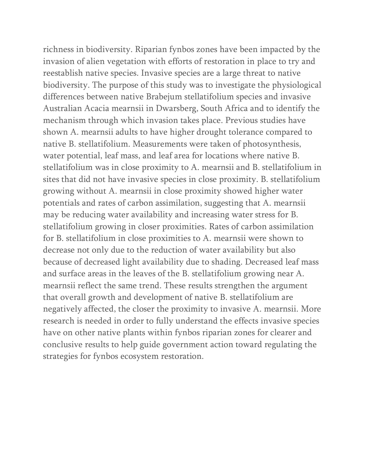richness in biodiversity. Riparian fynbos zones have been impacted by the invasion of alien vegetation with efforts of restoration in place to try and reestablish native species. Invasive species are a large threat to native biodiversity. The purpose of this study was to investigate the physiological differences between native Brabejum stellatifolium species and invasive Australian Acacia mearnsii in Dwarsberg, South Africa and to identify the mechanism through which invasion takes place. Previous studies have shown A. mearnsii adults to have higher drought tolerance compared to native B. stellatifolium. Measurements were taken of photosynthesis, water potential, leaf mass, and leaf area for locations where native B. stellatifolium was in close proximity to A. mearnsii and B. stellatifolium in sites that did not have invasive species in close proximity. B. stellatifolium growing without A. mearnsii in close proximity showed higher water potentials and rates of carbon assimilation, suggesting that A. mearnsii may be reducing water availability and increasing water stress for B. stellatifolium growing in closer proximities. Rates of carbon assimilation for B. stellatifolium in close proximities to A. mearnsii were shown to decrease not only due to the reduction of water availability but also because of decreased light availability due to shading. Decreased leaf mass and surface areas in the leaves of the B. stellatifolium growing near A. mearnsii reflect the same trend. These results strengthen the argument that overall growth and development of native B. stellatifolium are negatively affected, the closer the proximity to invasive A. mearnsii. More research is needed in order to fully understand the effects invasive species have on other native plants within fynbos riparian zones for clearer and conclusive results to help guide government action toward regulating the strategies for fynbos ecosystem restoration.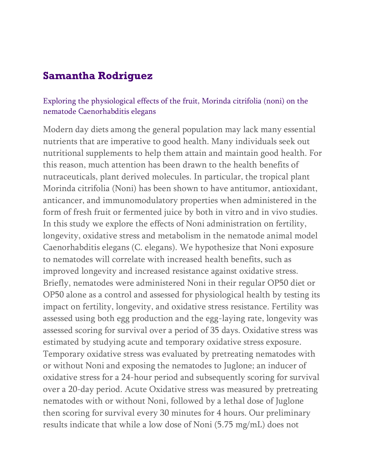## **Samantha Rodriguez**

#### Exploring the physiological effects of the fruit, Morinda citrifolia (noni) on the nematode Caenorhabditis elegans

Modern day diets among the general population may lack many essential nutrients that are imperative to good health. Many individuals seek out nutritional supplements to help them attain and maintain good health. For this reason, much attention has been drawn to the health benefits of nutraceuticals, plant derived molecules. In particular, the tropical plant Morinda citrifolia (Noni) has been shown to have antitumor, antioxidant, anticancer, and immunomodulatory properties when administered in the form of fresh fruit or fermented juice by both in vitro and in vivo studies. In this study we explore the effects of Noni administration on fertility, longevity, oxidative stress and metabolism in the nematode animal model Caenorhabditis elegans (C. elegans). We hypothesize that Noni exposure to nematodes will correlate with increased health benefits, such as improved longevity and increased resistance against oxidative stress. Briefly, nematodes were administered Noni in their regular OP50 diet or OP50 alone as a control and assessed for physiological health by testing its impact on fertility, longevity, and oxidative stress resistance. Fertility was assessed using both egg production and the egg-laying rate, longevity was assessed scoring for survival over a period of 35 days. Oxidative stress was estimated by studying acute and temporary oxidative stress exposure. Temporary oxidative stress was evaluated by pretreating nematodes with or without Noni and exposing the nematodes to Juglone; an inducer of oxidative stress for a 24-hour period and subsequently scoring for survival over a 20-day period. Acute Oxidative stress was measured by pretreating nematodes with or without Noni, followed by a lethal dose of Juglone then scoring for survival every 30 minutes for 4 hours. Our preliminary results indicate that while a low dose of Noni (5.75 mg/mL) does not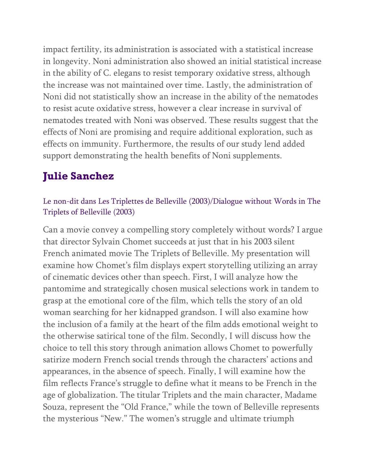impact fertility, its administration is associated with a statistical increase in longevity. Noni administration also showed an initial statistical increase in the ability of C. elegans to resist temporary oxidative stress, although the increase was not maintained over time. Lastly, the administration of Noni did not statistically show an increase in the ability of the nematodes to resist acute oxidative stress, however a clear increase in survival of nematodes treated with Noni was observed. These results suggest that the effects of Noni are promising and require additional exploration, such as effects on immunity. Furthermore, the results of our study lend added support demonstrating the health benefits of Noni supplements.

# **Julie Sanchez**

#### Le non-dit dans Les Triplettes de Belleville (2003)/Dialogue without Words in The Triplets of Belleville (2003)

Can a movie convey a compelling story completely without words? I argue that director Sylvain Chomet succeeds at just that in his 2003 silent French animated movie The Triplets of Belleville. My presentation will examine how Chomet's film displays expert storytelling utilizing an array of cinematic devices other than speech. First, I will analyze how the pantomime and strategically chosen musical selections work in tandem to grasp at the emotional core of the film, which tells the story of an old woman searching for her kidnapped grandson. I will also examine how the inclusion of a family at the heart of the film adds emotional weight to the otherwise satirical tone of the film. Secondly, I will discuss how the choice to tell this story through animation allows Chomet to powerfully satirize modern French social trends through the characters' actions and appearances, in the absence of speech. Finally, I will examine how the film reflects France's struggle to define what it means to be French in the age of globalization. The titular Triplets and the main character, Madame Souza, represent the "Old France," while the town of Belleville represents the mysterious "New." The women's struggle and ultimate triumph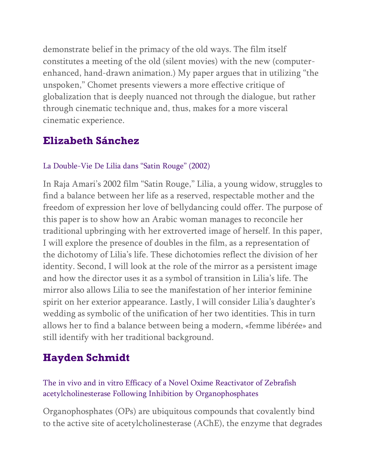demonstrate belief in the primacy of the old ways. The film itself constitutes a meeting of the old (silent movies) with the new (computerenhanced, hand-drawn animation.) My paper argues that in utilizing "the unspoken," Chomet presents viewers a more effective critique of globalization that is deeply nuanced not through the dialogue, but rather through cinematic technique and, thus, makes for a more visceral cinematic experience.

### **Elizabeth Sánchez**

#### La Double-Vie De Lilia dans "Satin Rouge" (2002)

In Raja Amari's 2002 film "Satin Rouge," Lilia, a young widow, struggles to find a balance between her life as a reserved, respectable mother and the freedom of expression her love of bellydancing could offer. The purpose of this paper is to show how an Arabic woman manages to reconcile her traditional upbringing with her extroverted image of herself. In this paper, I will explore the presence of doubles in the film, as a representation of the dichotomy of Lilia's life. These dichotomies reflect the division of her identity. Second, I will look at the role of the mirror as a persistent image and how the director uses it as a symbol of transition in Lilia's life. The mirror also allows Lilia to see the manifestation of her interior feminine spirit on her exterior appearance. Lastly, I will consider Lilia's daughter's wedding as symbolic of the unification of her two identities. This in turn allows her to find a balance between being a modern, «femme libérée» and still identify with her traditional background.

## **Hayden Schmidt**

The in vivo and in vitro Efficacy of a Novel Oxime Reactivator of Zebrafish acetylcholinesterase Following Inhibition by Organophosphates

Organophosphates (OPs) are ubiquitous compounds that covalently bind to the active site of acetylcholinesterase (AChE), the enzyme that degrades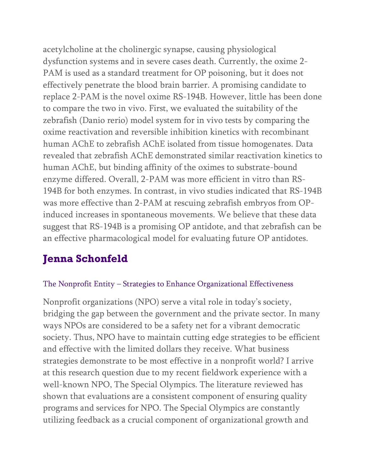acetylcholine at the cholinergic synapse, causing physiological dysfunction systems and in severe cases death. Currently, the oxime 2- PAM is used as a standard treatment for OP poisoning, but it does not effectively penetrate the blood brain barrier. A promising candidate to replace 2-PAM is the novel oxime RS-194B. However, little has been done to compare the two in vivo. First, we evaluated the suitability of the zebrafish (Danio rerio) model system for in vivo tests by comparing the oxime reactivation and reversible inhibition kinetics with recombinant human AChE to zebrafish AChE isolated from tissue homogenates. Data revealed that zebrafish AChE demonstrated similar reactivation kinetics to human AChE, but binding affinity of the oximes to substrate-bound enzyme differed. Overall, 2-PAM was more efficient in vitro than RS-194B for both enzymes. In contrast, in vivo studies indicated that RS-194B was more effective than 2-PAM at rescuing zebrafish embryos from OPinduced increases in spontaneous movements. We believe that these data suggest that RS-194B is a promising OP antidote, and that zebrafish can be an effective pharmacological model for evaluating future OP antidotes.

# **Jenna Schonfeld**

#### The Nonprofit Entity – Strategies to Enhance Organizational Effectiveness

Nonprofit organizations (NPO) serve a vital role in today's society, bridging the gap between the government and the private sector. In many ways NPOs are considered to be a safety net for a vibrant democratic society. Thus, NPO have to maintain cutting edge strategies to be efficient and effective with the limited dollars they receive. What business strategies demonstrate to be most effective in a nonprofit world? I arrive at this research question due to my recent fieldwork experience with a well-known NPO, The Special Olympics. The literature reviewed has shown that evaluations are a consistent component of ensuring quality programs and services for NPO. The Special Olympics are constantly utilizing feedback as a crucial component of organizational growth and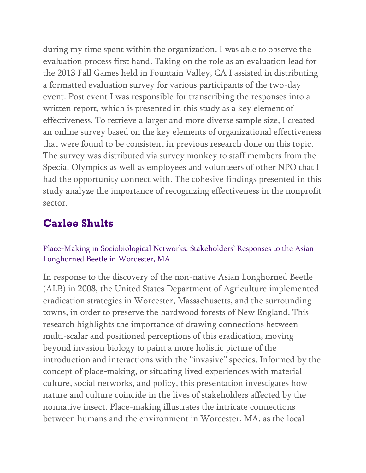during my time spent within the organization, I was able to observe the evaluation process first hand. Taking on the role as an evaluation lead for the 2013 Fall Games held in Fountain Valley, CA I assisted in distributing a formatted evaluation survey for various participants of the two-day event. Post event I was responsible for transcribing the responses into a written report, which is presented in this study as a key element of effectiveness. To retrieve a larger and more diverse sample size, I created an online survey based on the key elements of organizational effectiveness that were found to be consistent in previous research done on this topic. The survey was distributed via survey monkey to staff members from the Special Olympics as well as employees and volunteers of other NPO that I had the opportunity connect with. The cohesive findings presented in this study analyze the importance of recognizing effectiveness in the nonprofit sector.

## **Carlee Shults**

#### Place-Making in Sociobiological Networks: Stakeholders' Responses to the Asian Longhorned Beetle in Worcester, MA

In response to the discovery of the non-native Asian Longhorned Beetle (ALB) in 2008, the United States Department of Agriculture implemented eradication strategies in Worcester, Massachusetts, and the surrounding towns, in order to preserve the hardwood forests of New England. This research highlights the importance of drawing connections between multi-scalar and positioned perceptions of this eradication, moving beyond invasion biology to paint a more holistic picture of the introduction and interactions with the "invasive" species. Informed by the concept of place-making, or situating lived experiences with material culture, social networks, and policy, this presentation investigates how nature and culture coincide in the lives of stakeholders affected by the nonnative insect. Place-making illustrates the intricate connections between humans and the environment in Worcester, MA, as the local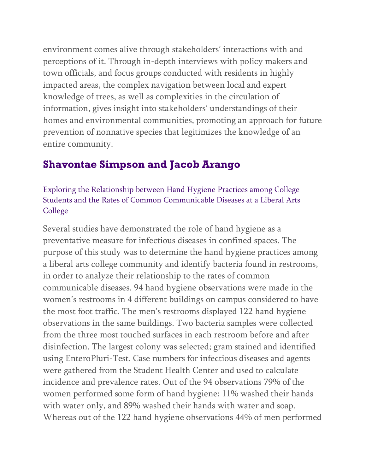environment comes alive through stakeholders' interactions with and perceptions of it. Through in-depth interviews with policy makers and town officials, and focus groups conducted with residents in highly impacted areas, the complex navigation between local and expert knowledge of trees, as well as complexities in the circulation of information, gives insight into stakeholders' understandings of their homes and environmental communities, promoting an approach for future prevention of nonnative species that legitimizes the knowledge of an entire community.

## **Shavontae Simpson and Jacob Arango**

Exploring the Relationship between Hand Hygiene Practices among College Students and the Rates of Common Communicable Diseases at a Liberal Arts College

Several studies have demonstrated the role of hand hygiene as a preventative measure for infectious diseases in confined spaces. The purpose of this study was to determine the hand hygiene practices among a liberal arts college community and identify bacteria found in restrooms, in order to analyze their relationship to the rates of common communicable diseases. 94 hand hygiene observations were made in the women's restrooms in 4 different buildings on campus considered to have the most foot traffic. The men's restrooms displayed 122 hand hygiene observations in the same buildings. Two bacteria samples were collected from the three most touched surfaces in each restroom before and after disinfection. The largest colony was selected; gram stained and identified using EnteroPluri-Test. Case numbers for infectious diseases and agents were gathered from the Student Health Center and used to calculate incidence and prevalence rates. Out of the 94 observations 79% of the women performed some form of hand hygiene; 11% washed their hands with water only, and 89% washed their hands with water and soap. Whereas out of the 122 hand hygiene observations 44% of men performed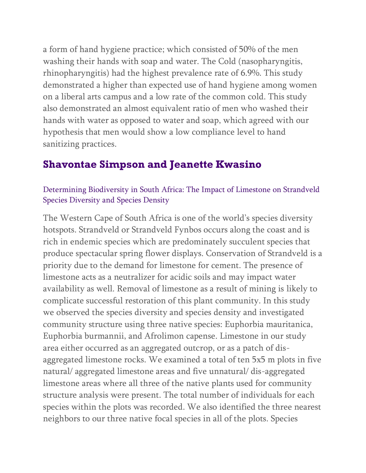a form of hand hygiene practice; which consisted of 50% of the men washing their hands with soap and water. The Cold (nasopharyngitis, rhinopharyngitis) had the highest prevalence rate of 6.9%. This study demonstrated a higher than expected use of hand hygiene among women on a liberal arts campus and a low rate of the common cold. This study also demonstrated an almost equivalent ratio of men who washed their hands with water as opposed to water and soap, which agreed with our hypothesis that men would show a low compliance level to hand sanitizing practices.

### **Shavontae Simpson and Jeanette Kwasino**

#### Determining Biodiversity in South Africa: The Impact of Limestone on Strandveld Species Diversity and Species Density

The Western Cape of South Africa is one of the world's species diversity hotspots. Strandveld or Strandveld Fynbos occurs along the coast and is rich in endemic species which are predominately succulent species that produce spectacular spring flower displays. Conservation of Strandveld is a priority due to the demand for limestone for cement. The presence of limestone acts as a neutralizer for acidic soils and may impact water availability as well. Removal of limestone as a result of mining is likely to complicate successful restoration of this plant community. In this study we observed the species diversity and species density and investigated community structure using three native species: Euphorbia mauritanica, Euphorbia burmannii, and Afrolimon capense. Limestone in our study area either occurred as an aggregated outcrop, or as a patch of disaggregated limestone rocks. We examined a total of ten 5x5 m plots in five natural/ aggregated limestone areas and five unnatural/ dis-aggregated limestone areas where all three of the native plants used for community structure analysis were present. The total number of individuals for each species within the plots was recorded. We also identified the three nearest neighbors to our three native focal species in all of the plots. Species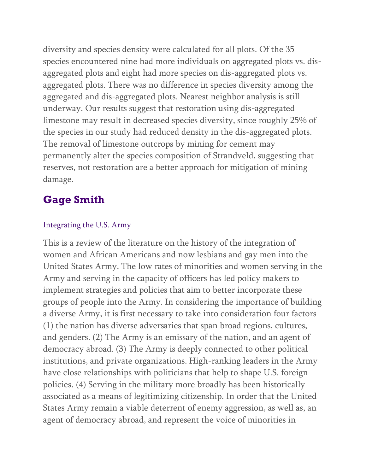diversity and species density were calculated for all plots. Of the 35 species encountered nine had more individuals on aggregated plots vs. disaggregated plots and eight had more species on dis-aggregated plots vs. aggregated plots. There was no difference in species diversity among the aggregated and dis-aggregated plots. Nearest neighbor analysis is still underway. Our results suggest that restoration using dis-aggregated limestone may result in decreased species diversity, since roughly 25% of the species in our study had reduced density in the dis-aggregated plots. The removal of limestone outcrops by mining for cement may permanently alter the species composition of Strandveld, suggesting that reserves, not restoration are a better approach for mitigation of mining damage.

## **Gage Smith**

#### Integrating the U.S. Army

This is a review of the literature on the history of the integration of women and African Americans and now lesbians and gay men into the United States Army. The low rates of minorities and women serving in the Army and serving in the capacity of officers has led policy makers to implement strategies and policies that aim to better incorporate these groups of people into the Army. In considering the importance of building a diverse Army, it is first necessary to take into consideration four factors (1) the nation has diverse adversaries that span broad regions, cultures, and genders. (2) The Army is an emissary of the nation, and an agent of democracy abroad. (3) The Army is deeply connected to other political institutions, and private organizations. High-ranking leaders in the Army have close relationships with politicians that help to shape U.S. foreign policies. (4) Serving in the military more broadly has been historically associated as a means of legitimizing citizenship. In order that the United States Army remain a viable deterrent of enemy aggression, as well as, an agent of democracy abroad, and represent the voice of minorities in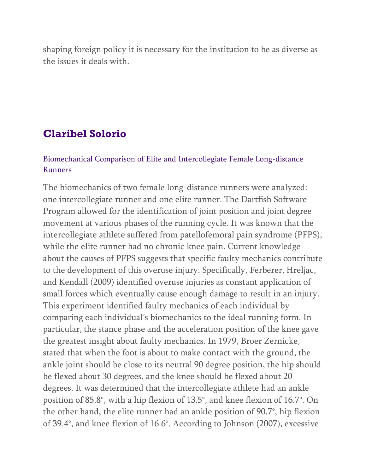shaping foreign policy it is necessary for the institution to be as diverse as the issues it deals with.

### **Claribel Solorio**

#### Biomechanical Comparison of Elite and Intercollegiate Female Long-distance Runners

The biomechanics of two female long-distance runners were analyzed: one intercollegiate runner and one elite runner. The Dartfish Software Program allowed for the identification of joint position and joint degree movement at various phases of the running cycle. It was known that the intercollegiate athlete suffered from patellofemoral pain syndrome (PFPS), while the elite runner had no chronic knee pain. Current knowledge about the causes of PFPS suggests that specific faulty mechanics contribute to the development of this overuse injury. Specifically, Ferberer, Hreljac, and Kendall (2009) identified overuse injuries as constant application of small forces which eventually cause enough damage to result in an injury. This experiment identified faulty mechanics of each individual by comparing each individual's biomechanics to the ideal running form. In particular, the stance phase and the acceleration position of the knee gave the greatest insight about faulty mechanics. In 1979, Broer Zernicke, stated that when the foot is about to make contact with the ground, the ankle joint should be close to its neutral 90 degree position, the hip should be flexed about 30 degrees, and the knee should be flexed about 20 degrees. It was determined that the intercollegiate athlete had an ankle position of 85.8°, with a hip flexion of 13.5°, and knee flexion of 16.7°. On the other hand, the elite runner had an ankle position of 90.7°, hip flexion of 39.4°, and knee flexion of 16.6°. According to Johnson (2007), excessive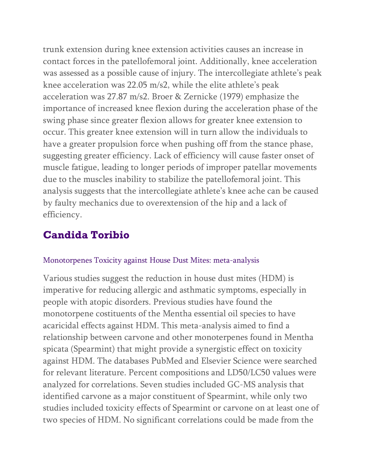trunk extension during knee extension activities causes an increase in contact forces in the patellofemoral joint. Additionally, knee acceleration was assessed as a possible cause of injury. The intercollegiate athlete's peak knee acceleration was 22.05 m/s2, while the elite athlete's peak acceleration was 27.87 m/s2. Broer & Zernicke (1979) emphasize the importance of increased knee flexion during the acceleration phase of the swing phase since greater flexion allows for greater knee extension to occur. This greater knee extension will in turn allow the individuals to have a greater propulsion force when pushing off from the stance phase, suggesting greater efficiency. Lack of efficiency will cause faster onset of muscle fatigue, leading to longer periods of improper patellar movements due to the muscles inability to stabilize the patellofemoral joint. This analysis suggests that the intercollegiate athlete's knee ache can be caused by faulty mechanics due to overextension of the hip and a lack of efficiency.

## **Candida Toribio**

#### Monotorpenes Toxicity against House Dust Mites: meta-analysis

Various studies suggest the reduction in house dust mites (HDM) is imperative for reducing allergic and asthmatic symptoms, especially in people with atopic disorders. Previous studies have found the monotorpene costituents of the Mentha essential oil species to have acaricidal effects against HDM. This meta-analysis aimed to find a relationship between carvone and other monoterpenes found in Mentha spicata (Spearmint) that might provide a synergistic effect on toxicity against HDM. The databases PubMed and Elsevier Science were searched for relevant literature. Percent compositions and LD50/LC50 values were analyzed for correlations. Seven studies included GC-MS analysis that identified carvone as a major constituent of Spearmint, while only two studies included toxicity effects of Spearmint or carvone on at least one of two species of HDM. No significant correlations could be made from the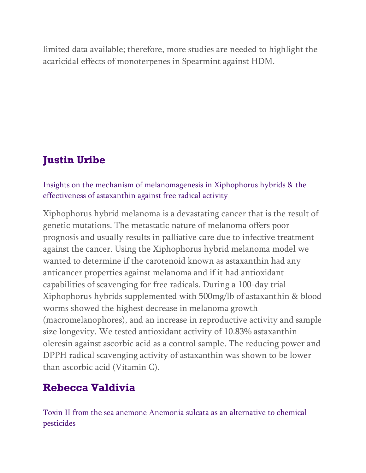limited data available; therefore, more studies are needed to highlight the acaricidal effects of monoterpenes in Spearmint against HDM.

# **Justin Uribe**

#### Insights on the mechanism of melanomagenesis in Xiphophorus hybrids & the effectiveness of astaxanthin against free radical activity

Xiphophorus hybrid melanoma is a devastating cancer that is the result of genetic mutations. The metastatic nature of melanoma offers poor prognosis and usually results in palliative care due to infective treatment against the cancer. Using the Xiphophorus hybrid melanoma model we wanted to determine if the carotenoid known as astaxanthin had any anticancer properties against melanoma and if it had antioxidant capabilities of scavenging for free radicals. During a 100-day trial Xiphophorus hybrids supplemented with 500mg/lb of astaxanthin & blood worms showed the highest decrease in melanoma growth (macromelanophores), and an increase in reproductive activity and sample size longevity. We tested antioxidant activity of 10.83% astaxanthin oleresin against ascorbic acid as a control sample. The reducing power and DPPH radical scavenging activity of astaxanthin was shown to be lower than ascorbic acid (Vitamin C).

## **Rebecca Valdivia**

Toxin II from the sea anemone Anemonia sulcata as an alternative to chemical pesticides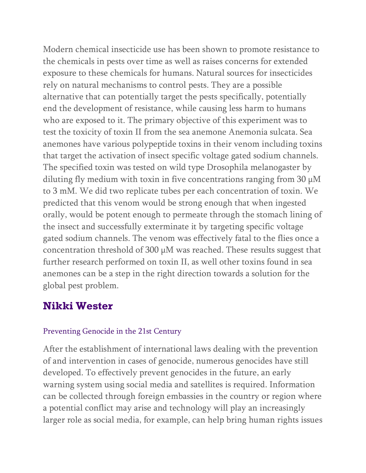Modern chemical insecticide use has been shown to promote resistance to the chemicals in pests over time as well as raises concerns for extended exposure to these chemicals for humans. Natural sources for insecticides rely on natural mechanisms to control pests. They are a possible alternative that can potentially target the pests specifically, potentially end the development of resistance, while causing less harm to humans who are exposed to it. The primary objective of this experiment was to test the toxicity of toxin II from the sea anemone Anemonia sulcata. Sea anemones have various polypeptide toxins in their venom including toxins that target the activation of insect specific voltage gated sodium channels. The specified toxin was tested on wild type Drosophila melanogaster by diluting fly medium with toxin in five concentrations ranging from 30  $\mu$ M to 3 mM. We did two replicate tubes per each concentration of toxin. We predicted that this venom would be strong enough that when ingested orally, would be potent enough to permeate through the stomach lining of the insect and successfully exterminate it by targeting specific voltage gated sodium channels. The venom was effectively fatal to the flies once a concentration threshold of 300 µM was reached. These results suggest that further research performed on toxin II, as well other toxins found in sea anemones can be a step in the right direction towards a solution for the global pest problem.

### **Nikki Wester**

#### Preventing Genocide in the 21st Century

After the establishment of international laws dealing with the prevention of and intervention in cases of genocide, numerous genocides have still developed. To effectively prevent genocides in the future, an early warning system using social media and satellites is required. Information can be collected through foreign embassies in the country or region where a potential conflict may arise and technology will play an increasingly larger role as social media, for example, can help bring human rights issues